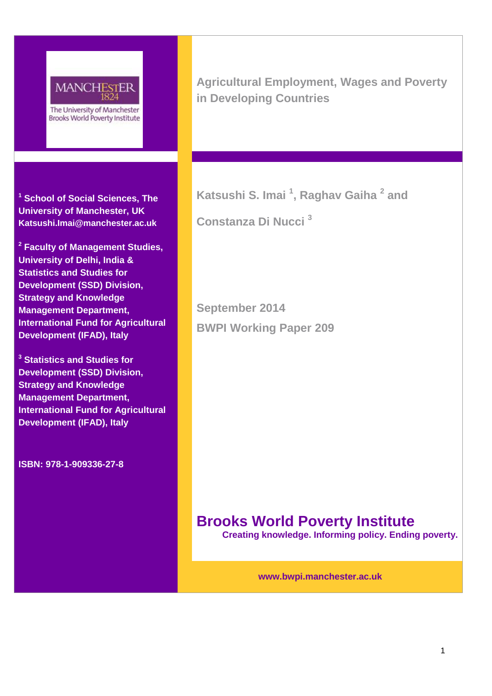

**Brooks World Poverty Institute** 

**<sup>1</sup> School of Social Sciences, The University of Manchester, UK Katsushi.Imai@manchester.ac.uk** 

**<sup>2</sup> Faculty of Management Studies, University of Delhi, India & Statistics and Studies for Development (SSD) Division, Strategy and Knowledge Management Department, International Fund for Agricultural Development (IFAD), Italy**

**<sup>3</sup> Statistics and Studies for Development (SSD) Division, Strategy and Knowledge Management Department, International Fund for Agricultural Development (IFAD), Italy**

**ISBN: 978-1-909336-27-8**

**Agricultural Employment, Wages and Poverty in Developing Countries**

**Katsushi S. Imai <sup>1</sup> , Raghav Gaiha <sup>2</sup> and Constanza Di Nucci <sup>3</sup>**

**September 2014 BWPI Working Paper 209**

# **Brooks World Poverty Institute**

**Creating knowledge. Informing policy. Ending poverty.**

**www.bwpi.manchester.ac.uk**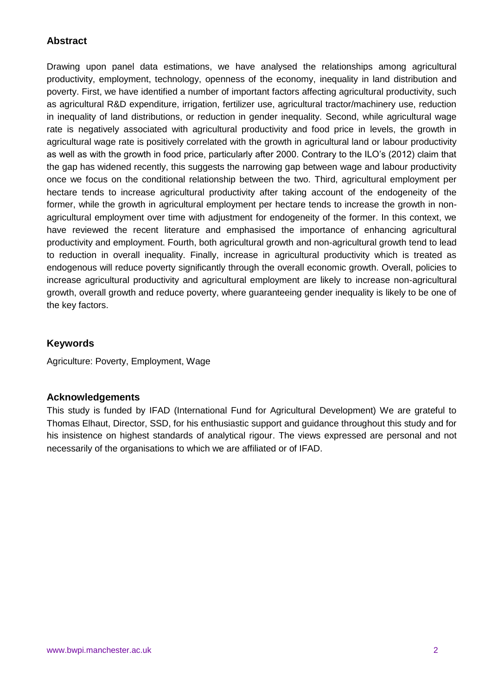## **Abstract**

Drawing upon panel data estimations, we have analysed the relationships among agricultural productivity, employment, technology, openness of the economy, inequality in land distribution and poverty. First, we have identified a number of important factors affecting agricultural productivity, such as agricultural R&D expenditure, irrigation, fertilizer use, agricultural tractor/machinery use, reduction in inequality of land distributions, or reduction in gender inequality. Second, while agricultural wage rate is negatively associated with agricultural productivity and food price in levels, the growth in agricultural wage rate is positively correlated with the growth in agricultural land or labour productivity as well as with the growth in food price, particularly after 2000. Contrary to the ILO's (2012) claim that the gap has widened recently, this suggests the narrowing gap between wage and labour productivity once we focus on the conditional relationship between the two. Third, agricultural employment per hectare tends to increase agricultural productivity after taking account of the endogeneity of the former, while the growth in agricultural employment per hectare tends to increase the growth in nonagricultural employment over time with adjustment for endogeneity of the former. In this context, we have reviewed the recent literature and emphasised the importance of enhancing agricultural productivity and employment. Fourth, both agricultural growth and non-agricultural growth tend to lead to reduction in overall inequality. Finally, increase in agricultural productivity which is treated as endogenous will reduce poverty significantly through the overall economic growth. Overall, policies to increase agricultural productivity and agricultural employment are likely to increase non-agricultural growth, overall growth and reduce poverty, where guaranteeing gender inequality is likely to be one of the key factors.

#### **Keywords**

Agriculture: Poverty, Employment, Wage

#### **Acknowledgements**

This study is funded by IFAD (International Fund for Agricultural Development) We are grateful to Thomas Elhaut, Director, SSD, for his enthusiastic support and guidance throughout this study and for his insistence on highest standards of analytical rigour. The views expressed are personal and not necessarily of the organisations to which we are affiliated or of IFAD.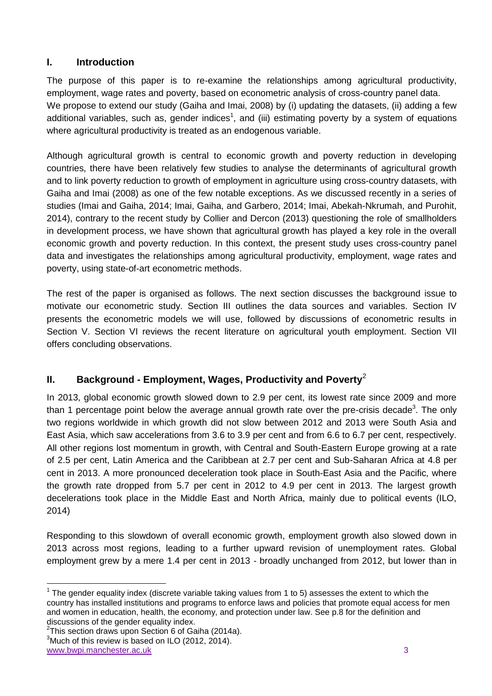## **I. Introduction**

The purpose of this paper is to re-examine the relationships among agricultural productivity, employment, wage rates and poverty, based on econometric analysis of cross-country panel data. We propose to extend our study (Gaiha and Imai, 2008) by (i) updating the datasets, (ii) adding a few additional variables, such as, gender indices<sup>1</sup>, and (iii) estimating poverty by a system of equations where agricultural productivity is treated as an endogenous variable.

Although agricultural growth is central to economic growth and poverty reduction in developing countries, there have been relatively few studies to analyse the determinants of agricultural growth and to link poverty reduction to growth of employment in agriculture using cross-country datasets, with Gaiha and Imai (2008) as one of the few notable exceptions. As we discussed recently in a series of studies (Imai and Gaiha, 2014; Imai, Gaiha, and Garbero, 2014; Imai, Abekah-Nkrumah, and Purohit, 2014), contrary to the recent study by Collier and Dercon (2013) questioning the role of smallholders in development process, we have shown that agricultural growth has played a key role in the overall economic growth and poverty reduction. In this context, the present study uses cross-country panel data and investigates the relationships among agricultural productivity, employment, wage rates and poverty, using state-of-art econometric methods.

The rest of the paper is organised as follows. The next section discusses the background issue to motivate our econometric study. Section III outlines the data sources and variables. Section IV presents the econometric models we will use, followed by discussions of econometric results in Section V. Section VI reviews the recent literature on agricultural youth employment. Section VII offers concluding observations.

# **II. Background - Employment, Wages, Productivity and Poverty**<sup>2</sup>

In 2013, global economic growth slowed down to 2.9 per cent, its lowest rate since 2009 and more than 1 percentage point below the average annual growth rate over the pre-crisis decade<sup>3</sup>. The only two regions worldwide in which growth did not slow between 2012 and 2013 were South Asia and East Asia, which saw accelerations from 3.6 to 3.9 per cent and from 6.6 to 6.7 per cent, respectively. All other regions lost momentum in growth, with Central and South-Eastern Europe growing at a rate of 2.5 per cent, Latin America and the Caribbean at 2.7 per cent and Sub-Saharan Africa at 4.8 per cent in 2013. A more pronounced deceleration took place in South-East Asia and the Pacific, where the growth rate dropped from 5.7 per cent in 2012 to 4.9 per cent in 2013. The largest growth decelerations took place in the Middle East and North Africa, mainly due to political events (ILO, 2014)

Responding to this slowdown of overall economic growth, employment growth also slowed down in 2013 across most regions, leading to a further upward revision of unemployment rates. Global employment grew by a mere 1.4 per cent in 2013 - broadly unchanged from 2012, but lower than in

1

 $1$  The gender equality index (discrete variable taking values from 1 to 5) assesses the extent to which the country has installed institutions and programs to enforce laws and policies that promote equal access for men and women in education, health, the economy, and protection under law. See p.8 for the definition and discussions of the gender equality index.

 $2$ This section draws upon Section 6 of Gaiha (2014a).

 $3$ Much of this review is based on ILO (2012, 2014).

[www.bwpi.manchester.ac.uk](http://www.bwpi.manchester.ac.uk/) 3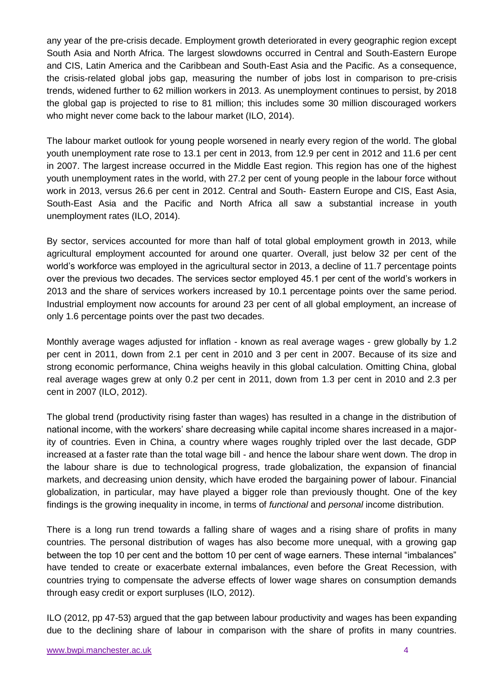any year of the pre-crisis decade. Employment growth deteriorated in every geographic region except South Asia and North Africa. The largest slowdowns occurred in Central and South-Eastern Europe and CIS, Latin America and the Caribbean and South-East Asia and the Pacific. As a consequence, the crisis-related global jobs gap, measuring the number of jobs lost in comparison to pre-crisis trends, widened further to 62 million workers in 2013. As unemployment continues to persist, by 2018 the global gap is projected to rise to 81 million; this includes some 30 million discouraged workers who might never come back to the labour market (ILO, 2014).

The labour market outlook for young people worsened in nearly every region of the world. The global youth unemployment rate rose to 13.1 per cent in 2013, from 12.9 per cent in 2012 and 11.6 per cent in 2007. The largest increase occurred in the Middle East region. This region has one of the highest youth unemployment rates in the world, with 27.2 per cent of young people in the labour force without work in 2013, versus 26.6 per cent in 2012. Central and South- Eastern Europe and CIS, East Asia, South-East Asia and the Pacific and North Africa all saw a substantial increase in youth unemployment rates (ILO, 2014).

By sector, services accounted for more than half of total global employment growth in 2013, while agricultural employment accounted for around one quarter. Overall, just below 32 per cent of the world's workforce was employed in the agricultural sector in 2013, a decline of 11.7 percentage points over the previous two decades. The services sector employed 45.1 per cent of the world's workers in 2013 and the share of services workers increased by 10.1 percentage points over the same period. Industrial employment now accounts for around 23 per cent of all global employment, an increase of only 1.6 percentage points over the past two decades.

Monthly average wages adjusted for inflation - known as real average wages - grew globally by 1.2 per cent in 2011, down from 2.1 per cent in 2010 and 3 per cent in 2007. Because of its size and strong economic performance, China weighs heavily in this global calculation. Omitting China, global real average wages grew at only 0.2 per cent in 2011, down from 1.3 per cent in 2010 and 2.3 per cent in 2007 (ILO, 2012).

The global trend (productivity rising faster than wages) has resulted in a change in the distribution of national income, with the workers' share decreasing while capital income shares increased in a majority of countries. Even in China, a country where wages roughly tripled over the last decade, GDP increased at a faster rate than the total wage bill - and hence the labour share went down. The drop in the labour share is due to technological progress, trade globalization, the expansion of financial markets, and decreasing union density, which have eroded the bargaining power of labour. Financial globalization, in particular, may have played a bigger role than previously thought. One of the key findings is the growing inequality in income, in terms of *functional* and *personal* income distribution.

There is a long run trend towards a falling share of wages and a rising share of profits in many countries. The personal distribution of wages has also become more unequal, with a growing gap between the top 10 per cent and the bottom 10 per cent of wage earners. These internal "imbalances" have tended to create or exacerbate external imbalances, even before the Great Recession, with countries trying to compensate the adverse effects of lower wage shares on consumption demands through easy credit or export surpluses (ILO, 2012).

ILO (2012, pp 47-53) argued that the gap between labour productivity and wages has been expanding due to the declining share of labour in comparison with the share of profits in many countries.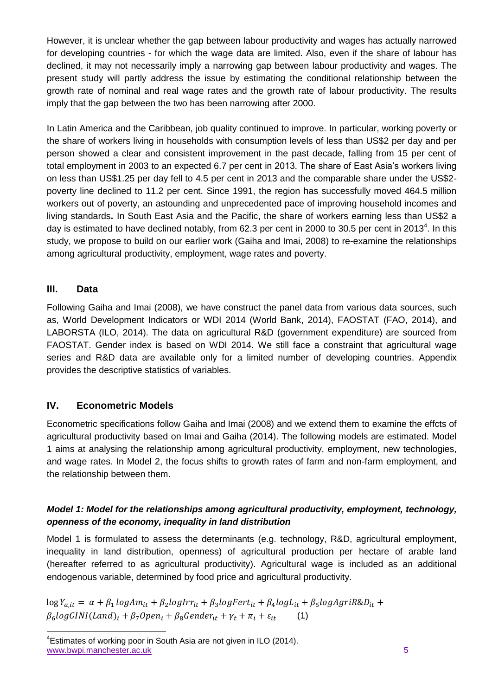However, it is unclear whether the gap between labour productivity and wages has actually narrowed for developing countries - for which the wage data are limited. Also, even if the share of labour has declined, it may not necessarily imply a narrowing gap between labour productivity and wages. The present study will partly address the issue by estimating the conditional relationship between the growth rate of nominal and real wage rates and the growth rate of labour productivity. The results imply that the gap between the two has been narrowing after 2000.

In Latin America and the Caribbean, job quality continued to improve. In particular, working poverty or the share of workers living in households with consumption levels of less than US\$2 per day and per person showed a clear and consistent improvement in the past decade, falling from 15 per cent of total employment in 2003 to an expected 6.7 per cent in 2013. The share of East Asia's workers living on less than US\$1.25 per day fell to 4.5 per cent in 2013 and the comparable share under the US\$2 poverty line declined to 11.2 per cent. Since 1991, the region has successfully moved 464.5 million workers out of poverty, an astounding and unprecedented pace of improving household incomes and living standards**.** In South East Asia and the Pacific, the share of workers earning less than US\$2 a day is estimated to have declined notably, from 62.3 per cent in 2000 to 30.5 per cent in 2013<sup>4</sup>. In this study, we propose to build on our earlier work (Gaiha and Imai, 2008) to re-examine the relationships among agricultural productivity, employment, wage rates and poverty.

#### **III. Data**

Following Gaiha and Imai (2008), we have construct the panel data from various data sources, such as, World Development Indicators or WDI 2014 (World Bank, 2014), FAOSTAT (FAO, 2014), and LABORSTA (ILO, 2014). The data on agricultural R&D (government expenditure) are sourced from FAOSTAT. Gender index is based on WDI 2014. We still face a constraint that agricultural wage series and R&D data are available only for a limited number of developing countries. Appendix provides the descriptive statistics of variables.

## **IV. Econometric Models**

Econometric specifications follow Gaiha and Imai (2008) and we extend them to examine the effcts of agricultural productivity based on Imai and Gaiha (2014). The following models are estimated. Model 1 aims at analysing the relationship among agricultural productivity, employment, new technologies, and wage rates. In Model 2, the focus shifts to growth rates of farm and non-farm employment, and the relationship between them.

## *Model 1: Model for the relationships among agricultural productivity, employment, technology, openness of the economy, inequality in land distribution*

Model 1 is formulated to assess the determinants (e.g. technology, R&D, agricultural employment, inequality in land distribution, openness) of agricultural production per hectare of arable land (hereafter referred to as agricultural productivity). Agricultural wage is included as an additional endogenous variable, determined by food price and agricultural productivity.

 $\log Y_{a.it} = \alpha + \beta_1 \log A m_{it} + \beta_2 \log I r r_{it} + \beta_3 \log F e r t_{it} + \beta_4 \log L_{it} + \beta_5 \log A gr R \& D_{it}$  $\beta_6 \log GINI(Land)_i + \beta_7 Open_i + \beta_8 Gender_{it} + \gamma_t + \pi_i + \varepsilon_{it}$  (1)

[www.bwpi.manchester.ac.uk](http://www.bwpi.manchester.ac.uk/) 5 1 <sup>4</sup>Estimates of working poor in South Asia are not given in ILO (2014).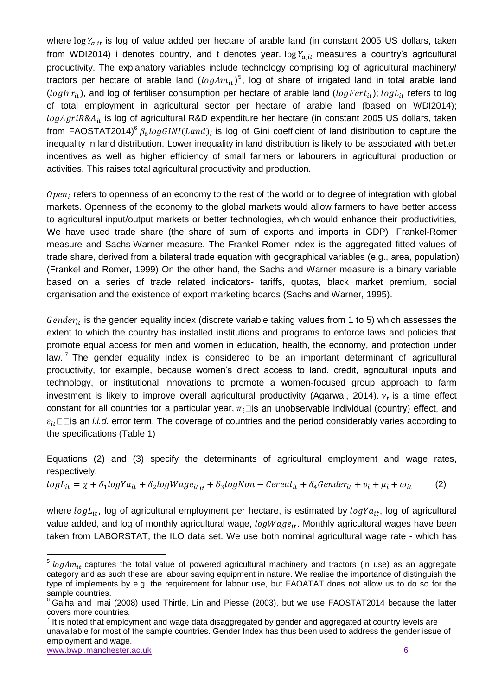where  $\log Y_{a, it}$  is log of value added per hectare of arable land (in constant 2005 US dollars, taken from WDI2014) i denotes country, and t denotes year. log  $Y_{a, it}$  measures a country's agricultural productivity. The explanatory variables include technology comprising log of agricultural machinery/ tractors per hectare of arable land  $(logAm_{it})^5$ , log of share of irrigated land in total arable land ( $logIrr_{it}$ ), and log of fertiliser consumption per hectare of arable land ( $logFert_{it}$ );  $logL_{it}$  refers to log of total employment in agricultural sector per hectare of arable land (based on WDI2014);  $logAgriR&A_{it}$  is log of agricultural R&D expenditure her hectare (in constant 2005 US dollars, taken from FAOSTAT2014)<sup>6</sup>  $\beta_6 log GINI (Land)_i$  is log of Gini coefficient of land distribution to capture the inequality in land distribution. Lower inequality in land distribution is likely to be associated with better incentives as well as higher efficiency of small farmers or labourers in agricultural production or activities. This raises total agricultural productivity and production.

 $Open_i$  refers to openness of an economy to the rest of the world or to degree of integration with global markets. Openness of the economy to the global markets would allow farmers to have better access to agricultural input/output markets or better technologies, which would enhance their productivities, We have used trade share (the share of sum of exports and imports in GDP), Frankel-Romer measure and Sachs-Warner measure. The Frankel-Romer index is the aggregated fitted values of trade share, derived from a bilateral trade equation with geographical variables (e.g., area, population) (Frankel and Romer, 1999) On the other hand, the Sachs and Warner measure is a binary variable based on a series of trade related indicators- tariffs, quotas, black market premium, social organisation and the existence of export marketing boards (Sachs and Warner, 1995).

Gender<sub>it</sub> is the gender equality index (discrete variable taking values from 1 to 5) which assesses the extent to which the country has installed institutions and programs to enforce laws and policies that promote equal access for men and women in education, health, the economy, and protection under law.<sup>7</sup> The gender equality index is considered to be an important determinant of agricultural productivity, for example, because women's direct access to land, credit, agricultural inputs and technology, or institutional innovations to promote a women-focused group approach to farm investment is likely to improve overall agricultural productivity (Agarwal, 2014).  $\gamma_t$  is a time effect constant for all countries for a particular year,  $\pi_i$  is an unobservable individual (country) effect, and  $\varepsilon_{it}$   $\Box$  is an *i.i.d.* error term. The coverage of countries and the period considerably varies according to the specifications (Table 1)

Equations (2) and (3) specify the determinants of agricultural employment and wage rates, respectively.

$$
logL_{it} = \chi + \delta_1 logYa_{it} + \delta_2 logWage_{itit} + \delta_3 logNon-Cereal_{it} + \delta_4 Gender_{it} + v_i + \mu_i + \omega_{it}
$$
 (2)

where  $logLi_t$ , log of agricultural employment per hectare, is estimated by  $logYa_{it}$ , log of agricultural value added, and log of monthly agricultural wage,  $logWage_{it}$ . Monthly agricultural wages have been taken from LABORSTAT, the ILO data set. We use both nominal agricultural wage rate - which has

1

 $5$  logA $m_{it}$  captures the total value of powered agricultural machinery and tractors (in use) as an aggregate category and as such these are labour saving equipment in nature. We realise the importance of distinguish the type of implements by e.g. the requirement for labour use, but FAOATAT does not allow us to do so for the sample countries.

<sup>6</sup> Gaiha and Imai (2008) used Thirtle, Lin and Piesse (2003), but we use FAOSTAT2014 because the latter covers more countries.

<sup>7</sup> It is noted that employment and wage data disaggregated by gender and aggregated at country levels are unavailable for most of the sample countries. Gender Index has thus been used to address the gender issue of employment and wage.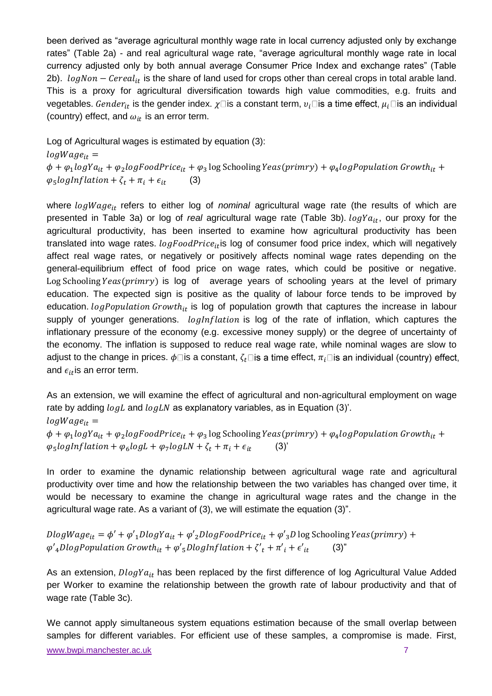been derived as "average agricultural monthly wage rate in local currency adjusted only by exchange rates" (Table 2a) - and real agricultural wage rate, "average agricultural monthly wage rate in local currency adjusted only by both annual average Consumer Price Index and exchange rates" (Table 2b).  $logNon-Cereal_{it}$  is the share of land used for crops other than cereal crops in total arable land. This is a proxy for agricultural diversification towards high value commodities, e.g. fruits and vegetables. Gender<sub>it</sub> is the gender index.  $\chi$  is a constant term,  $v_i$  is a time effect,  $\mu_i$  is an individual (country) effect, and  $\omega_{it}$  is an error term.

Log of Agricultural wages is estimated by equation (3):  $logWage_{it} =$  $\phi + \varphi_1 logYa_{it} + \varphi_2 logFoodPrice_{it} + \varphi_3 log Schooling Years(primry) + \varphi_4 log Population Growth_{it} +$  $\varphi_5$ *logInflation* +  $\zeta_t$  +  $\pi_i$  +  $\epsilon_{it}$  (3)

where  $logWage_{it}$  refers to either log of *nominal* agricultural wage rate (the results of which are presented in Table 3a) or log of *real* agricultural wage rate (Table 3b).  $logYa_{it}$ , our proxy for the agricultural productivity, has been inserted to examine how agricultural productivity has been translated into wage rates.  $logFoodPrice_{tr}$  is log of consumer food price index, which will negatively affect real wage rates, or negatively or positively affects nominal wage rates depending on the general-equilibrium effect of food price on wage rates, which could be positive or negative. Log Schooling Yeas( $primary$ ) is log of average years of schooling years at the level of primary education. The expected sign is positive as the quality of labour force tends to be improved by education. *log Population Growth<sub>it</sub>* is log of population growth that captures the increase in labour supply of younger generations. *logInflation* is log of the rate of inflation, which captures the inflationary pressure of the economy (e.g. excessive money supply) or the degree of uncertainty of the economy. The inflation is supposed to reduce real wage rate, while nominal wages are slow to adjust to the change in prices.  $\phi$  is a constant,  $\zeta_t$  is a time effect,  $\pi_i$  is an individual (country) effect, and  $\epsilon_{it}$  is an error term.

As an extension, we will examine the effect of agricultural and non-agricultural employment on wage rate by adding  $logL$  and  $logLN$  as explanatory variables, as in Equation (3)'.  $logWage_{ir} =$  $\phi + \varphi_1 logYa_{it} + \varphi_2 logFoodPrice_{it} + \varphi_3 log Schooling Years(primry) + \varphi_4 log Population Growth_{it} +$  $\varphi_5$ *logInflation* +  $\varphi_6$ *logL* +  $\varphi_7$ *logLN* +  $\zeta_t$  +  $\pi_i$  +  $\epsilon_{it}$  (3)'

In order to examine the dynamic relationship between agricultural wage rate and agricultural productivity over time and how the relationship between the two variables has changed over time, it would be necessary to examine the change in agricultural wage rates and the change in the agricultural wage rate. As a variant of (3), we will estimate the equation (3)".

 $DlogWage_{it} = \phi' + \phi'_1 DlogYa_{it} + \phi'_2 DlogFoodPrice_{it} + \phi'_3 D \log Schooling Years(primry) +$  $\varphi'_{4}DlogP$ opulation Growth $_{it} + \varphi'_{5}DlogInflation + \zeta'_{t} + \pi'_{t}$  $(3)$ "

As an extension,  $DlogYa_{it}$  has been replaced by the first difference of log Agricultural Value Added per Worker to examine the relationship between the growth rate of labour productivity and that of wage rate (Table 3c).

[www.bwpi.manchester.ac.uk](http://www.bwpi.manchester.ac.uk/) 7 We cannot apply simultaneous system equations estimation because of the small overlap between samples for different variables. For efficient use of these samples, a compromise is made. First,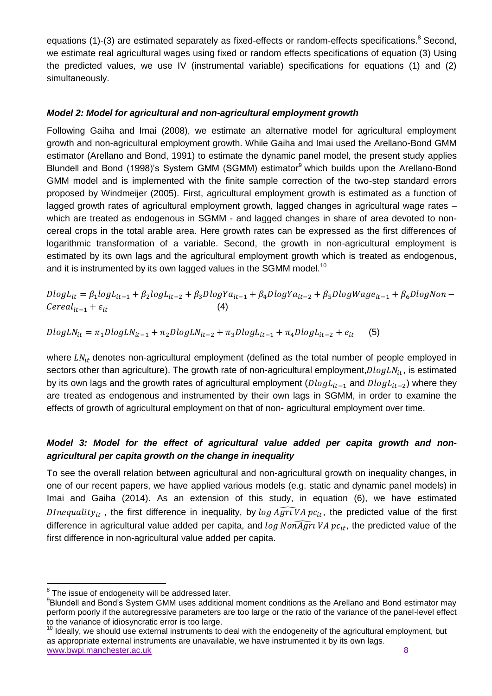equations (1)-(3) are estimated separately as fixed-effects or random-effects specifications.<sup>8</sup> Second, we estimate real agricultural wages using fixed or random effects specifications of equation (3) Using the predicted values, we use IV (instrumental variable) specifications for equations (1) and (2) simultaneously.

#### *Model 2: Model for agricultural and non-agricultural employment growth*

Following Gaiha and Imai (2008), we estimate an alternative model for agricultural employment growth and non-agricultural employment growth. While Gaiha and Imai used the Arellano-Bond GMM estimator (Arellano and Bond, 1991) to estimate the dynamic panel model, the present study applies Blundell and Bond (1998)'s System GMM (SGMM) estimator<sup>9</sup> which builds upon the Arellano-Bond GMM model and is implemented with the finite sample correction of the two-step standard errors proposed by Windmeijer (2005). First, agricultural employment growth is estimated as a function of lagged growth rates of agricultural employment growth, lagged changes in agricultural wage rates – which are treated as endogenous in SGMM - and lagged changes in share of area devoted to noncereal crops in the total arable area. Here growth rates can be expressed as the first differences of logarithmic transformation of a variable. Second, the growth in non-agricultural employment is estimated by its own lags and the agricultural employment growth which is treated as endogenous, and it is instrumented by its own lagged values in the SGMM model.<sup>10</sup>

$$
DlogL_{it} = \beta_1 logL_{it-1} + \beta_2 logL_{it-2} + \beta_3 DlogYa_{it-1} + \beta_4 DlogYa_{it-2} + \beta_5 DlogWage_{it-1} + \beta_6 DlogNon-Cereal_{it-1} + \varepsilon_{it}
$$
\n(4)

 $DlogLN_{it} = \pi_1 DlogLN_{it-1} + \pi_2 DlogLN_{it-2} + \pi_3 DlogL_{it-1} + \pi_4 DlogL_{it-2} + e_{it}$  (5)

where  $LN_{it}$  denotes non-agricultural employment (defined as the total number of people employed in sectors other than agriculture). The growth rate of non-agricultural employment,  $DlogLN_{it}$ , is estimated by its own lags and the growth rates of agricultural employment ( $DlogL_{it-1}$  and  $DlogL_{it-2}$ ) where they are treated as endogenous and instrumented by their own lags in SGMM, in order to examine the effects of growth of agricultural employment on that of non- agricultural employment over time.

## *Model 3: Model for the effect of agricultural value added per capita growth and nonagricultural per capita growth on the change in inequality*

To see the overall relation between agricultural and non-agricultural growth on inequality changes, in one of our recent papers, we have applied various models (e.g. static and dynamic panel models) in Imai and Gaiha (2014). As an extension of this study, in equation (6), we have estimated DInequality<sub>it</sub>, the first difference in inequality, by log  $\widehat{AgrvVA}$  pc<sub>it</sub>, the predicted value of the first difference in agricultural value added per capita, and  $log Non \widehat{Agr}$  VA  $pc_{it}$ , the predicted value of the first difference in non-agricultural value added per capita.

1

<sup>&</sup>lt;sup>8</sup> The issue of endogeneity will be addressed later.

<sup>&</sup>lt;sup>9</sup>Blundell and Bond's System GMM uses additional moment conditions as the Arellano and Bond estimator may perform poorly if the autoregressive parameters are too large or the ratio of the variance of the panel-level effect to the variance of idiosyncratic error is too large.

[www.bwpi.manchester.ac.uk](http://www.bwpi.manchester.ac.uk/) 8  $10$  Ideally, we should use external instruments to deal with the endogeneity of the agricultural employment, but as appropriate external instruments are unavailable, we have instrumented it by its own lags.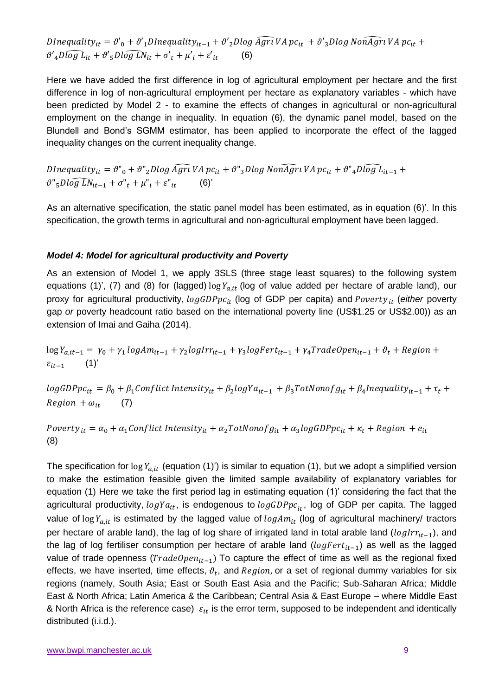DInequality<sub>it</sub> =  $\vartheta'_0$  +  $\vartheta'_1$ DInequality<sub>it-1</sub> +  $\vartheta'_2$ Dlog Agri VA pc<sub>it</sub> +  $\vartheta'_3$ Dlog NonAgri VA pc<sub>it</sub> +  $\vartheta'_4$ Dlog  $L_{it} + \vartheta'_5$ Dlog  $LN_{it} + \sigma'_t + \mu'_t$ (6)

Here we have added the first difference in log of agricultural employment per hectare and the first difference in log of non-agricultural employment per hectare as explanatory variables - which have been predicted by Model 2 - to examine the effects of changes in agricultural or non-agricultural employment on the change in inequality. In equation (6), the dynamic panel model, based on the Blundell and Bond's SGMM estimator, has been applied to incorporate the effect of the lagged inequality changes on the current inequality change.

DInequality<sub>it</sub> =  $\vartheta_{0}'' + \vartheta_{2}''$ Dlog  $\widehat{Agr}$  VA pc<sub>it</sub> +  $\vartheta_{3}''$ Dlog Non $\widehat{Agr}$  VA pc<sub>it</sub> +  $\vartheta_{4}''$ Dlog  $L_{it-1}$  +  $\vartheta$ <sup>"</sup><sub>5</sub> $Diog \overline{LN}_{it-1} + \sigma$ "<sub>t</sub> +  $\mu$ "<sub>i</sub> +  $\varepsilon$ "<sub>it</sub> (6)'

As an alternative specification, the static panel model has been estimated, as in equation (6)'. In this specification, the growth terms in agricultural and non-agricultural employment have been lagged.

#### *Model 4: Model for agricultural productivity and Poverty*

As an extension of Model 1, we apply 3SLS (three stage least squares) to the following system equations (1)', (7) and (8) for (lagged)  $\log Y_{a, it}$  (log of value added per hectare of arable land), our proxy for agricultural productivity, logGDPpc<sub>it</sub> (log of GDP per capita) and Poverty<sub>it</sub> (either poverty gap *or* poverty headcount ratio based on the international poverty line (US\$1.25 or US\$2.00)) as an extension of Imai and Gaiha (2014).

 $\log Y_{a.it-1} = \gamma_0 + \gamma_1 \log Am_{it-1} + \gamma_2 \log Irr_{it-1} + \gamma_3 \log Fert_{it-1} + \gamma_4 TradeOpen_{it-1} + \vartheta_t + Region +$  $\varepsilon_{it-1}$  (1)'

 $logGDPpc_{it} = \beta_0 + \beta_1 Conflict$  Intensity<sub>it</sub> +  $\beta_2 logYa_{it-1} + \beta_3 TotNonofg_{it} + \beta_4 Inequality_{it-1} + \tau_t$  +  $Region + \omega_{it}$  (7)

Poverty<sub>it</sub> =  $\alpha_0$  +  $\alpha_1$ Conflict Intensity<sub>it</sub> +  $\alpha_2$ TotNonofg<sub>it</sub> +  $\alpha_3$ logGDPpc<sub>it</sub> +  $\kappa_t$  + Region +  $e_{it}$ (8)

The specification for  $\log Y_{a, it}$  (equation (1)') is similar to equation (1), but we adopt a simplified version to make the estimation feasible given the limited sample availability of explanatory variables for equation (1) Here we take the first period lag in estimating equation (1)' considering the fact that the agricultural productivity,  $logYa_{it}$ , is endogenous to  $logGDPpc_{it}$ , log of GDP per capita. The lagged value of  $\log Y_{a,i}$  is estimated by the lagged value of  $logAm_{it}$  (log of agricultural machinery/ tractors per hectare of arable land), the lag of log share of irrigated land in total arable land ( $logIrr_{it-1}$ ), and the lag of log fertiliser consumption per hectare of arable land  $(logFert_{it-1})$  as well as the lagged value of trade openness ( $TradeOpen_{it-1}$ ) To capture the effect of time as well as the regional fixed effects, we have inserted, time effects,  $\vartheta_t$ , and Region, or a set of regional dummy variables for six regions (namely, South Asia; East or South East Asia and the Pacific; Sub-Saharan Africa; Middle East & North Africa; Latin America & the Caribbean; Central Asia & East Europe – where Middle East & North Africa is the reference case)  $\varepsilon_{it}$  is the error term, supposed to be independent and identically distributed (i.i.d.).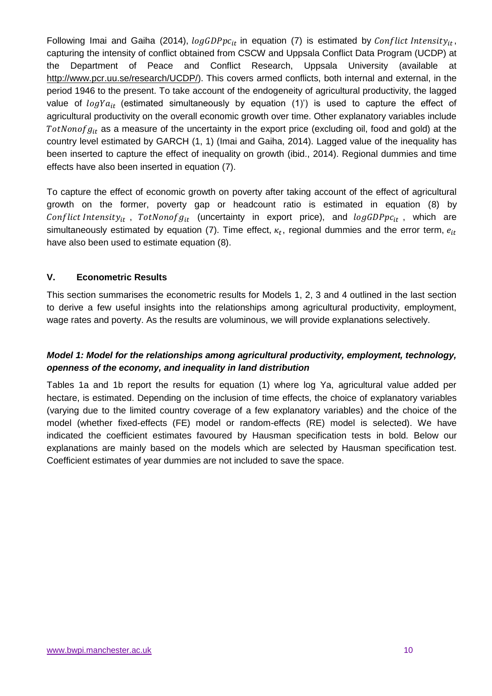Following Imai and Gaiha (2014),  $logGDPpc_{it}$  in equation (7) is estimated by Conflict Intensity<sub>it</sub>, capturing the intensity of conflict obtained from CSCW and Uppsala Conflict Data Program (UCDP) at the Department of Peace and Conflict Research, Uppsala University (available at [http://www.pcr.uu.se/research/UCDP/\)](http://www.pcr.uu.se/research/UCDP/). This covers armed conflicts, both internal and external, in the period 1946 to the present. To take account of the endogeneity of agricultural productivity, the lagged value of  $logYa_{it}$  (estimated simultaneously by equation (1)') is used to capture the effect of agricultural productivity on the overall economic growth over time. Other explanatory variables include TotNonof  $g_{it}$  as a measure of the uncertainty in the export price (excluding oil, food and gold) at the country level estimated by GARCH (1, 1) (Imai and Gaiha, 2014). Lagged value of the inequality has been inserted to capture the effect of inequality on growth (ibid., 2014). Regional dummies and time effects have also been inserted in equation (7).

To capture the effect of economic growth on poverty after taking account of the effect of agricultural growth on the former, poverty gap or headcount ratio is estimated in equation (8) by Conflict Intensity<sub>it</sub>, TotNonofg<sub>it</sub> (uncertainty in export price), and  $logGDPpc$ <sub>it</sub>, which are simultaneously estimated by equation (7). Time effect,  $\kappa_t$ , regional dummies and the error term, have also been used to estimate equation (8).

#### **V. Econometric Results**

This section summarises the econometric results for Models 1, 2, 3 and 4 outlined in the last section to derive a few useful insights into the relationships among agricultural productivity, employment, wage rates and poverty. As the results are voluminous, we will provide explanations selectively.

#### *Model 1: Model for the relationships among agricultural productivity, employment, technology, openness of the economy, and inequality in land distribution*

Tables 1a and 1b report the results for equation (1) where log Ya, agricultural value added per hectare, is estimated. Depending on the inclusion of time effects, the choice of explanatory variables (varying due to the limited country coverage of a few explanatory variables) and the choice of the model (whether fixed-effects (FE) model or random-effects (RE) model is selected). We have indicated the coefficient estimates favoured by Hausman specification tests in bold. Below our explanations are mainly based on the models which are selected by Hausman specification test. Coefficient estimates of year dummies are not included to save the space.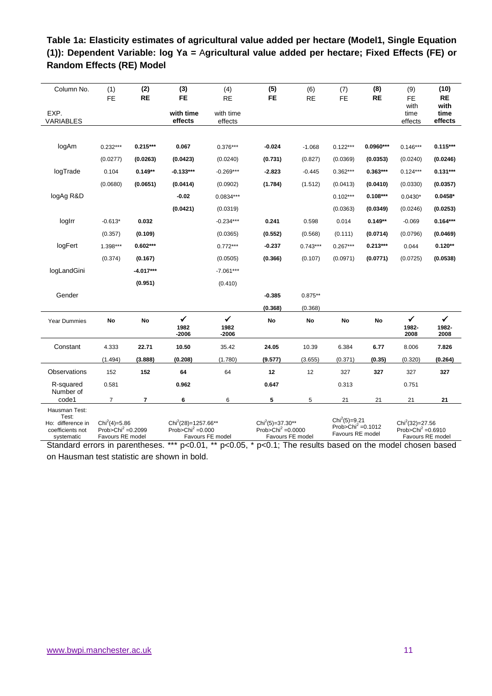**Table 1a: Elasticity estimates of agricultural value added per hectare (Model1, Single Equation (1)): Dependent Variable: log Ya =** A**gricultural value added per hectare; Fixed Effects (FE) or Random Effects (RE) Model**

| Column No.                                                                                                      | (1)<br><b>FE</b>                                            | (2)<br><b>RE</b> | (3)<br><b>FE</b>                                                   | (4)<br><b>RE</b>              | (5)<br><b>FE</b>                                                                                                                                                     | (6)<br><b>RE</b> | (7)<br><b>FE</b>                                            | (8)<br><b>RE</b> | (9)<br><b>FE</b><br>with                                      | (10)<br><b>RE</b><br>with     |
|-----------------------------------------------------------------------------------------------------------------|-------------------------------------------------------------|------------------|--------------------------------------------------------------------|-------------------------------|----------------------------------------------------------------------------------------------------------------------------------------------------------------------|------------------|-------------------------------------------------------------|------------------|---------------------------------------------------------------|-------------------------------|
| EXP.<br><b>VARIABLES</b>                                                                                        |                                                             |                  | with time<br>effects                                               | with time<br>effects          |                                                                                                                                                                      |                  |                                                             |                  | time<br>effects                                               | time<br>effects               |
|                                                                                                                 |                                                             |                  |                                                                    |                               |                                                                                                                                                                      |                  |                                                             |                  |                                                               |                               |
| logAm                                                                                                           | $0.232***$                                                  | $0.215***$       | 0.067                                                              | $0.376***$                    | $-0.024$                                                                                                                                                             | $-1.068$         | $0.122***$                                                  | 0.0960***        | $0.146***$                                                    | $0.115***$                    |
|                                                                                                                 | (0.0277)                                                    | (0.0263)         | (0.0423)                                                           | (0.0240)                      | (0.731)                                                                                                                                                              | (0.827)          | (0.0369)                                                    | (0.0353)         | (0.0240)                                                      | (0.0246)                      |
| logTrade                                                                                                        | 0.104                                                       | $0.149**$        | $-0.133***$                                                        | $-0.269***$                   | $-2.823$                                                                                                                                                             | $-0.445$         | $0.362***$                                                  | $0.363***$       | $0.124***$                                                    | $0.131***$                    |
|                                                                                                                 | (0.0680)                                                    | (0.0651)         | (0.0414)                                                           | (0.0902)                      | (1.784)                                                                                                                                                              | (1.512)          | (0.0413)                                                    | (0.0410)         | (0.0330)                                                      | (0.0357)                      |
| logAg R&D                                                                                                       |                                                             |                  | $-0.02$                                                            | 0.0834***                     |                                                                                                                                                                      |                  | $0.102***$                                                  | $0.108***$       | $0.0430*$                                                     | $0.0458*$                     |
|                                                                                                                 |                                                             |                  | (0.0421)                                                           | (0.0319)                      |                                                                                                                                                                      |                  | (0.0363)                                                    | (0.0349)         | (0.0246)                                                      | (0.0253)                      |
| logIrr                                                                                                          | $-0.613*$                                                   | 0.032            |                                                                    | $-0.234***$                   | 0.241                                                                                                                                                                | 0.598            | 0.014                                                       | $0.149**$        | $-0.069$                                                      | $0.164***$                    |
|                                                                                                                 | (0.357)                                                     | (0.109)          |                                                                    | (0.0365)                      | (0.552)                                                                                                                                                              | (0.568)          | (0.111)                                                     | (0.0714)         | (0.0796)                                                      | (0.0469)                      |
| logFert                                                                                                         | 1.398***                                                    | $0.602***$       |                                                                    | $0.772***$                    | $-0.237$                                                                                                                                                             | $0.743***$       | $0.267***$                                                  | $0.213***$       | 0.044                                                         | $0.120**$                     |
|                                                                                                                 | (0.374)                                                     | (0.167)          |                                                                    | (0.0505)                      | (0.366)                                                                                                                                                              | (0.107)          | (0.0971)                                                    | (0.0771)         | (0.0725)                                                      | (0.0538)                      |
| logLandGini                                                                                                     |                                                             | -4.017***        |                                                                    | $-7.061***$                   |                                                                                                                                                                      |                  |                                                             |                  |                                                               |                               |
|                                                                                                                 |                                                             | (0.951)          |                                                                    | (0.410)                       |                                                                                                                                                                      |                  |                                                             |                  |                                                               |                               |
| Gender                                                                                                          |                                                             |                  |                                                                    |                               | $-0.385$                                                                                                                                                             | $0.875**$        |                                                             |                  |                                                               |                               |
|                                                                                                                 |                                                             |                  |                                                                    |                               | (0.368)                                                                                                                                                              | (0.368)          |                                                             |                  |                                                               |                               |
| <b>Year Dummies</b>                                                                                             | No                                                          | No               | $\checkmark$<br>1982<br>$-2006$                                    | $\checkmark$<br>1982<br>-2006 | No                                                                                                                                                                   | No               | No                                                          | No               | ✓<br>1982-<br>2008                                            | $\checkmark$<br>1982-<br>2008 |
| Constant                                                                                                        | 4.333                                                       | 22.71            | 10.50                                                              | 35.42                         | 24.05                                                                                                                                                                | 10.39            | 6.384                                                       | 6.77             | 8.006                                                         | 7.826                         |
|                                                                                                                 | (1.494)                                                     | (3.888)          | (0.208)                                                            | (1.780)                       | (9.577)                                                                                                                                                              | (3.655)          | (0.371)                                                     | (0.35)           | (0.320)                                                       | (0.264)                       |
| Observations                                                                                                    | 152                                                         | 152              | 64                                                                 | 64                            | 12                                                                                                                                                                   | 12               | 327                                                         | 327              | 327                                                           | 327                           |
| R-squared<br>Number of                                                                                          | 0.581                                                       |                  | 0.962                                                              |                               | 0.647                                                                                                                                                                |                  | 0.313                                                       |                  | 0.751                                                         |                               |
| code1                                                                                                           | $\overline{7}$                                              | 7                | 6                                                                  | 6                             | 5                                                                                                                                                                    | 5                | 21                                                          | 21               | 21                                                            | 21                            |
| Hausman Test:<br>Test:<br>Ho: difference in<br>coefficients not<br>systematic<br>Ctondard arrara in naranthonon | $Chi2(4)=5.86$<br>Prob>Chi $^2$ =0.2099<br>Favours RE model |                  | Chi <sup>2</sup> (28)=1257.66**<br>Prob>Chi <sup>2</sup> = $0.000$ | Favours FE model              | $Chi2(5)=37.30**$<br>Prob>Chi <sup>2</sup> = 0.0000<br>Favours FE model<br>$***$ p $.0.01$ $**$ p $.0.05$ $*$ p $.0.1$ . The require begad on the model chosen begad |                  | $Chi2(5)=9.21$<br>Prob>Chi $^2$ =0.1012<br>Favours RE model |                  | $Chi2(32)=27.56$<br>Prob>Chi $^2$ =0.6910<br>Favours RE model |                               |

Standard errors in parentheses. \*\*\* p<0.01, \*\* p<0.05, \* p<0.1; The results based on the model chosen based on Hausman test statistic are shown in bold.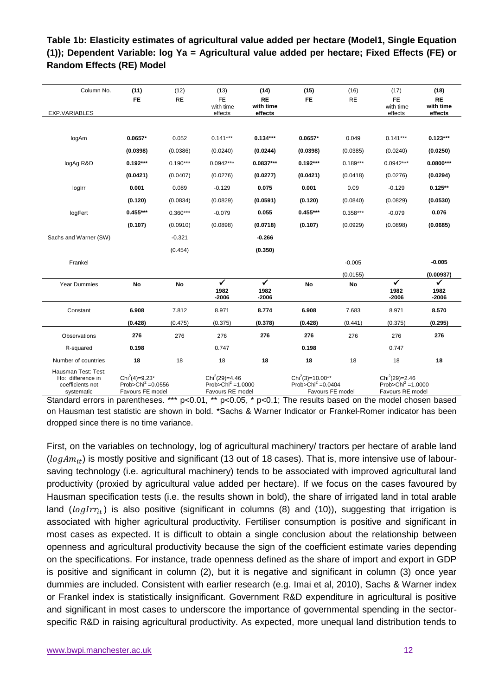**Table 1b: Elasticity estimates of agricultural value added per hectare (Model1, Single Equation (1)); Dependent Variable: log Ya = Agricultural value added per hectare; Fixed Effects (FE) or Random Effects (RE) Model**

| Column No.                                                                 | (11)                                                         | (12)       | (13)                                                           | (14)                              | (15)                                        | (16)             | (17)                                                                  | (18)                              |
|----------------------------------------------------------------------------|--------------------------------------------------------------|------------|----------------------------------------------------------------|-----------------------------------|---------------------------------------------|------------------|-----------------------------------------------------------------------|-----------------------------------|
| EXP.VARIABLES                                                              | <b>FE</b>                                                    | <b>RE</b>  | FE<br>with time<br>effects                                     | <b>RE</b><br>with time<br>effects | <b>FE</b>                                   | <b>RE</b>        | <b>FE</b><br>with time<br>effects                                     | <b>RE</b><br>with time<br>effects |
|                                                                            |                                                              |            |                                                                |                                   |                                             |                  |                                                                       |                                   |
| logAm                                                                      | $0.0657*$                                                    | 0.052      | $0.141***$                                                     | $0.134***$                        | $0.0657*$                                   | 0.049            | $0.141***$                                                            | $0.123***$                        |
|                                                                            | (0.0398)                                                     | (0.0386)   | (0.0240)                                                       | (0.0244)                          | (0.0398)                                    | (0.0385)         | (0.0240)                                                              | (0.0250)                          |
| logAg R&D                                                                  | $0.192***$                                                   | $0.190***$ | $0.0942***$                                                    | $0.0837***$                       | $0.192***$                                  | $0.189***$       | $0.0942***$                                                           | $0.0800***$                       |
|                                                                            | (0.0421)                                                     | (0.0407)   | (0.0276)                                                       | (0.0277)                          | (0.0421)                                    | (0.0418)         | (0.0276)                                                              | (0.0294)                          |
| logIrr                                                                     | 0.001                                                        | 0.089      | $-0.129$                                                       | 0.075                             | 0.001                                       | 0.09             | $-0.129$                                                              | $0.125**$                         |
|                                                                            | (0.120)                                                      | (0.0834)   | (0.0829)                                                       | (0.0591)                          | (0.120)                                     | (0.0840)         | (0.0829)                                                              | (0.0530)                          |
| logFert                                                                    | $0.455***$                                                   | $0.360***$ | $-0.079$                                                       | 0.055                             | $0.455***$                                  | $0.358***$       | $-0.079$                                                              | 0.076                             |
|                                                                            | (0.107)                                                      | (0.0910)   | (0.0898)                                                       | (0.0718)                          | (0.107)                                     | (0.0929)         | (0.0898)                                                              | (0.0685)                          |
| Sachs and Warner (SW)                                                      |                                                              | $-0.321$   |                                                                | $-0.266$                          |                                             |                  |                                                                       |                                   |
|                                                                            |                                                              | (0.454)    |                                                                | (0.350)                           |                                             |                  |                                                                       |                                   |
| Frankel                                                                    |                                                              |            |                                                                |                                   |                                             | $-0.005$         |                                                                       | $-0.005$                          |
|                                                                            |                                                              |            |                                                                |                                   |                                             | (0.0155)         |                                                                       | (0.00937)                         |
| <b>Year Dummies</b>                                                        | <b>No</b>                                                    | No         | $\checkmark$<br>1982<br>$-2006$                                | $\checkmark$<br>1982<br>$-2006$   | No                                          | No               | ✓<br>1982<br>$-2006$                                                  | ✓<br>1982<br>$-2006$              |
| Constant                                                                   | 6.908                                                        | 7.812      | 8.971                                                          | 8.774                             | 6.908                                       | 7.683            | 8.971                                                                 | 8.570                             |
|                                                                            | (0.428)                                                      | (0.475)    | (0.375)                                                        | (0.378)                           | (0.428)                                     | (0.441)          | (0.375)                                                               | (0.295)                           |
| Observations                                                               | 276                                                          | 276        | 276                                                            | 276                               | 276                                         | 276              | 276                                                                   | 276                               |
| R-squared                                                                  | 0.198                                                        |            | 0.747                                                          |                                   | 0.198                                       |                  | 0.747                                                                 |                                   |
| Number of countries                                                        | 18                                                           | 18         | 18                                                             | 18                                | 18                                          | 18               | 18                                                                    | 18                                |
| Hausman Test: Test:<br>Ho: difference in<br>coefficients not<br>systematic | $Chi2(4)=9.23*$<br>Prob>Chi $^2$ =0.0556<br>Favours FE model |            | $Chi2(29)=4.46$<br>$Prob > Chi^2 = 1.0000$<br>Favours RE model |                                   | $Chi^2(3)=10.00**$<br>Prob>Chi $^2$ =0.0404 | Favours FE model | $Chi2(29)=2.46$<br>Prob>Chi <sup>2</sup> = 1.0000<br>Favours RE model |                                   |

Standard errors in parentheses. \*\*\* p<0.01, \*\* p<0.05, \* p<0.1; The results based on the model chosen based on Hausman test statistic are shown in bold. \*Sachs & Warner Indicator or Frankel-Romer indicator has been dropped since there is no time variance.

First, on the variables on technology, log of agricultural machinery/ tractors per hectare of arable land  $(logAm_{it})$  is mostly positive and significant (13 out of 18 cases). That is, more intensive use of laboursaving technology (i.e. agricultural machinery) tends to be associated with improved agricultural land productivity (proxied by agricultural value added per hectare). If we focus on the cases favoured by Hausman specification tests (i.e. the results shown in bold), the share of irrigated land in total arable land ( $logIrr_{it}$ ) is also positive (significant in columns (8) and (10)), suggesting that irrigation is associated with higher agricultural productivity. Fertiliser consumption is positive and significant in most cases as expected. It is difficult to obtain a single conclusion about the relationship between openness and agricultural productivity because the sign of the coefficient estimate varies depending on the specifications. For instance, trade openness defined as the share of import and export in GDP is positive and significant in column (2), but it is negative and significant in column (3) once year dummies are included. Consistent with earlier research (e.g. Imai et al, 2010), Sachs & Warner index or Frankel index is statistically insignificant. Government R&D expenditure in agricultural is positive and significant in most cases to underscore the importance of governmental spending in the sectorspecific R&D in raising agricultural productivity. As expected, more unequal land distribution tends to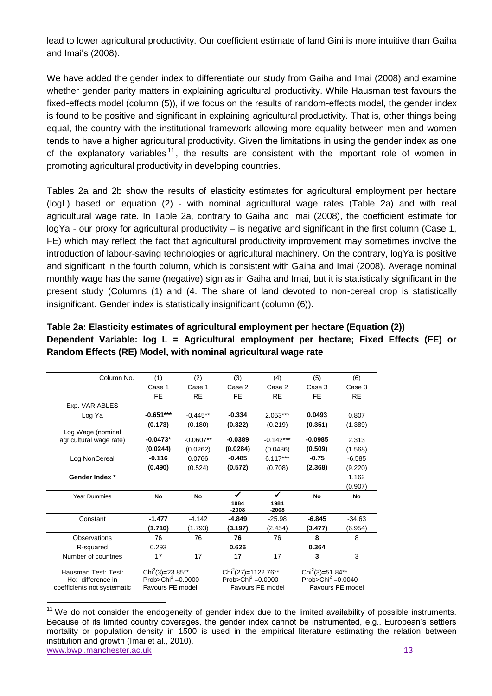lead to lower agricultural productivity. Our coefficient estimate of land Gini is more intuitive than Gaiha and Imai's (2008).

We have added the gender index to differentiate our study from Gaiha and Imai (2008) and examine whether gender parity matters in explaining agricultural productivity. While Hausman test favours the fixed-effects model (column (5)), if we focus on the results of random-effects model, the gender index is found to be positive and significant in explaining agricultural productivity. That is, other things being equal, the country with the institutional framework allowing more equality between men and women tends to have a higher agricultural productivity. Given the limitations in using the gender index as one of the explanatory variables<sup>11</sup>, the results are consistent with the important role of women in promoting agricultural productivity in developing countries.

Tables 2a and 2b show the results of elasticity estimates for agricultural employment per hectare (logL) based on equation (2) - with nominal agricultural wage rates (Table 2a) and with real agricultural wage rate. In Table 2a, contrary to Gaiha and Imai (2008), the coefficient estimate for logYa - our proxy for agricultural productivity – is negative and significant in the first column (Case 1, FE) which may reflect the fact that agricultural productivity improvement may sometimes involve the introduction of labour-saving technologies or agricultural machinery. On the contrary, logYa is positive and significant in the fourth column, which is consistent with Gaiha and Imai (2008). Average nominal monthly wage has the same (negative) sign as in Gaiha and Imai, but it is statistically significant in the present study (Columns (1) and (4. The share of land devoted to non-cereal crop is statistically insignificant. Gender index is statistically insignificant (column (6)).

| Table 2a: Elasticity estimates of agricultural employment per hectare (Equation (2))   |  |  |  |  |  |  |  |  |
|----------------------------------------------------------------------------------------|--|--|--|--|--|--|--|--|
| Dependent Variable: log L = Agricultural employment per hectare; Fixed Effects (FE) or |  |  |  |  |  |  |  |  |
| Random Effects (RE) Model, with nominal agricultural wage rate                         |  |  |  |  |  |  |  |  |

| Column No.                                                              | (1)                                                                        | (2)         | (3)                                                      | (4)              | (5)                                                   | (6)              |
|-------------------------------------------------------------------------|----------------------------------------------------------------------------|-------------|----------------------------------------------------------|------------------|-------------------------------------------------------|------------------|
|                                                                         | Case 1                                                                     | Case 1      | Case 2                                                   | Case 2           | Case 3                                                | Case 3           |
|                                                                         | <b>FE</b>                                                                  | <b>RE</b>   | <b>FE</b>                                                | <b>RE</b>        | <b>FE</b>                                             | <b>RE</b>        |
| Exp. VARIABLES                                                          |                                                                            |             |                                                          |                  |                                                       |                  |
| Log Ya                                                                  | $-0.651***$                                                                | $-0.445**$  | $-0.334$                                                 | 2.053***         | 0.0493                                                | 0.807            |
|                                                                         | (0.173)                                                                    | (0.180)     | (0.322)                                                  | (0.219)          | (0.351)                                               | (1.389)          |
| Log Wage (nominal                                                       |                                                                            |             |                                                          |                  |                                                       |                  |
| agricultural wage rate)                                                 | $-0.0473*$                                                                 | $-0.0607**$ | $-0.0389$                                                | $-0.142***$      | $-0.0985$                                             | 2.313            |
|                                                                         | (0.0244)                                                                   | (0.0262)    | (0.0284)                                                 | (0.0486)         | (0.509)                                               | (1.568)          |
| Log NonCereal                                                           | $-0.116$                                                                   | 0.0766      | $-0.485$                                                 | $6.117***$       | $-0.75$                                               | $-6.585$         |
|                                                                         | (0.490)                                                                    | (0.524)     | (0.572)                                                  | (0.708)          | (2.368)                                               | (9.220)          |
| Gender Index *                                                          |                                                                            |             |                                                          |                  |                                                       | 1.162            |
|                                                                         |                                                                            |             |                                                          |                  |                                                       | (0.907)          |
| <b>Year Dummies</b>                                                     | <b>No</b>                                                                  | No          | $\checkmark$                                             | ✓                | <b>No</b>                                             | No               |
|                                                                         |                                                                            |             | 1984<br>$-2008$                                          | 1984<br>$-2008$  |                                                       |                  |
| Constant                                                                | $-1.477$                                                                   | $-4.142$    | $-4.849$                                                 | $-25.98$         | $-6.845$                                              | $-34.63$         |
|                                                                         | (1.710)                                                                    | (1.793)     | (3.197)                                                  | (2.454)          | (3.477)                                               | (6.954)          |
| Observations                                                            | 76                                                                         | 76          | 76                                                       | 76               | 8                                                     | 8                |
| R-squared                                                               | 0.293                                                                      |             | 0.626                                                    |                  | 0.364                                                 |                  |
| Number of countries                                                     | 17                                                                         | 17          | 17                                                       | 17               | 3                                                     | 3                |
| Hausman Test: Test:<br>Ho: difference in<br>coefficients not systematic | Chi <sup>2</sup> (3)=23.85**<br>$Prob > Chi2 = 0.0000$<br>Favours FE model |             | Chi <sup>2</sup> (27)=1122.76**<br>Prob>Chi $^2$ =0.0000 | Favours FE model | Chi <sup>2</sup> (3)=51.84**<br>Prob>Chi $^2$ =0.0040 | Favours FE model |

[www.bwpi.manchester.ac.uk](http://www.bwpi.manchester.ac.uk/) 13 1  $11$  We do not consider the endogeneity of gender index due to the limited availability of possible instruments. Because of its limited country coverages, the gender index cannot be instrumented, e.g., European's settlers mortality or population density in 1500 is used in the empirical literature estimating the relation between institution and growth (Imai et al., 2010).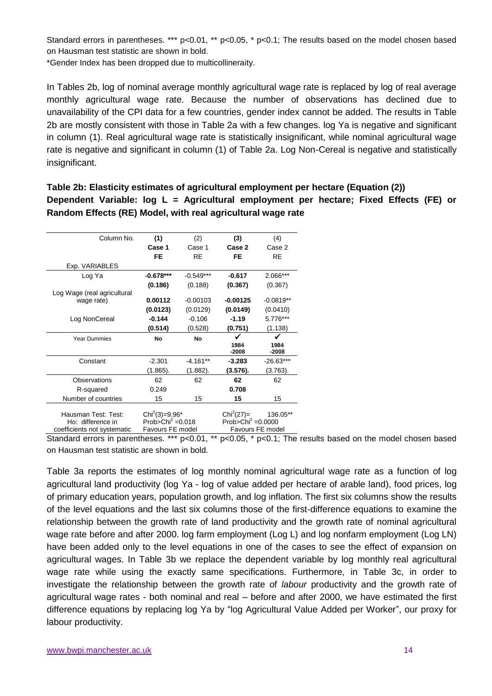Standard errors in parentheses. \*\*\* p<0.01, \*\* p<0.05, \* p<0.1; The results based on the model chosen based on Hausman test statistic are shown in bold.

\*Gender Index has been dropped due to multicollineraity.

In Tables 2b, log of nominal average monthly agricultural wage rate is replaced by log of real average monthly agricultural wage rate. Because the number of observations has declined due to unavailability of the CPI data for a few countries, gender index cannot be added. The results in Table 2b are mostly consistent with those in Table 2a with a few changes. log Ya is negative and significant in column (1). Real agricultural wage rate is statistically insignificant, while nominal agricultural wage rate is negative and significant in column (1) of Table 2a. Log Non-Cereal is negative and statistically insignificant.

### **Table 2b: Elasticity estimates of agricultural employment per hectare (Equation (2)) Dependent Variable: log L = Agricultural employment per hectare; Fixed Effects (FE) or Random Effects (RE) Model, with real agricultural wage rate**

| Column No.                                                              | (1)                                                         | (2)         | (3)                                    | (4)                          |
|-------------------------------------------------------------------------|-------------------------------------------------------------|-------------|----------------------------------------|------------------------------|
|                                                                         | Case 1                                                      | Case 1      | Case 2                                 | Case 2                       |
|                                                                         | <b>FE</b>                                                   | <b>RE</b>   | FE                                     | <b>RE</b>                    |
| Exp. VARIABLES                                                          |                                                             |             |                                        |                              |
| Log Ya                                                                  | $-0.678***$                                                 | $-0.549***$ | $-0.617$                               | 2.066***                     |
|                                                                         | (0.186)                                                     | (0.188)     | (0.367)                                | (0.367)                      |
| Log Wage (real agricultural                                             |                                                             |             |                                        |                              |
| wage rate)                                                              | 0.00112                                                     | $-0.00103$  | $-0.00125$                             | $-0.0819**$                  |
|                                                                         | (0.0123)                                                    | (0.0129)    | (0.0149)                               | (0.0410)                     |
| Log NonCereal                                                           | $-0.144$                                                    | $-0.106$    | $-1.19$                                | 5.776***                     |
|                                                                         | (0.514)                                                     | (0.528)     | (0.751)                                | (1.138)                      |
| <b>Year Dummies</b>                                                     | <b>No</b>                                                   | No          |                                        |                              |
|                                                                         |                                                             |             | 1984<br>$-2008$                        | 1984<br>$-2008$              |
| Constant                                                                | $-2.301$                                                    | $-4.161**$  | $-3.283$                               | $-26.63***$                  |
|                                                                         | (1.865).                                                    | (1.882).    | (3.576).                               | $(3.763)$ .                  |
| Observations                                                            | 62                                                          | 62          | 62                                     | 62                           |
| R-squared                                                               | 0.249                                                       |             | 0.708                                  |                              |
| Number of countries                                                     | 15                                                          | 15          | 15                                     | 15                           |
| Hausman Test: Test:<br>Ho: difference in<br>coefficients not systematic | $Chi2(3)=9.96*$<br>Prob>Chi $^2$ =0.018<br>Favours FE model |             | $Chi^2(27) =$<br>Prob>Chi $^2$ =0.0000 | 136.05**<br>Favours FE model |

Standard errors in parentheses. \*\*\* p<0.01, \*\* p<0.05, \* p<0.1; The results based on the model chosen based on Hausman test statistic are shown in bold.

Table 3a reports the estimates of log monthly nominal agricultural wage rate as a function of log agricultural land productivity (log Ya - log of value added per hectare of arable land), food prices, log of primary education years, population growth, and log inflation. The first six columns show the results of the level equations and the last six columns those of the first-difference equations to examine the relationship between the growth rate of land productivity and the growth rate of nominal agricultural wage rate before and after 2000. log farm employment (Log L) and log nonfarm employment (Log LN) have been added only to the level equations in one of the cases to see the effect of expansion on agricultural wages. In Table 3b we replace the dependent variable by log monthly real agricultural wage rate while using the exactly same specifications. Furthermore, in Table 3c, in order to investigate the relationship between the growth rate of *labour* productivity and the growth rate of agricultural wage rates - both nominal and real – before and after 2000, we have estimated the first difference equations by replacing log Ya by "log Agricultural Value Added per Worker", our proxy for labour productivity.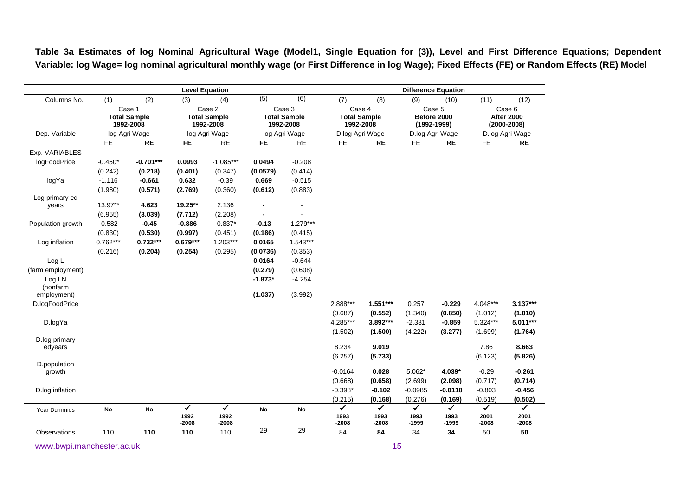|                         |            |                                            |                 | <b>Difference Equation</b>                 |                        |                                            |                                            |                 |                 |                                          |                 |                                                |
|-------------------------|------------|--------------------------------------------|-----------------|--------------------------------------------|------------------------|--------------------------------------------|--------------------------------------------|-----------------|-----------------|------------------------------------------|-----------------|------------------------------------------------|
| Columns No.             | (1)        | (2)                                        | (3)             | (4)                                        | $\overline{(5)}$       | $\overline{(6)}$                           | (7)                                        | (8)             | (9)             | (10)                                     | (11)            | (12)                                           |
|                         |            | Case 1<br><b>Total Sample</b><br>1992-2008 |                 | Case 2<br><b>Total Sample</b><br>1992-2008 |                        | Case 3<br><b>Total Sample</b><br>1992-2008 | Case 4<br><b>Total Sample</b><br>1992-2008 |                 |                 | Case 5<br>Before 2000<br>$(1992 - 1999)$ |                 | Case 6<br><b>After 2000</b><br>$(2000 - 2008)$ |
| Dep. Variable           |            | log Agri Wage                              |                 | log Agri Wage                              |                        | log Agri Wage                              | D.log Agri Wage                            |                 |                 | D.log Agri Wage                          |                 | D.log Agri Wage                                |
|                         | FE.        | <b>RE</b>                                  | <b>FE</b>       | <b>RE</b>                                  | FE                     | <b>RE</b>                                  | <b>FE</b>                                  | RE              | <b>FE</b>       | <b>RE</b>                                | FE.             | <b>RE</b>                                      |
| Exp. VARIABLES          |            |                                            |                 |                                            |                        |                                            |                                            |                 |                 |                                          |                 |                                                |
| logFoodPrice            | $-0.450*$  | $-0.701***$                                | 0.0993          | $-1.085***$                                | 0.0494                 | $-0.208$                                   |                                            |                 |                 |                                          |                 |                                                |
|                         | (0.242)    | (0.218)                                    | (0.401)         | (0.347)                                    | (0.0579)               | (0.414)                                    |                                            |                 |                 |                                          |                 |                                                |
| logYa                   | $-1.116$   | $-0.661$                                   | 0.632           | $-0.39$                                    | 0.669                  | $-0.515$                                   |                                            |                 |                 |                                          |                 |                                                |
|                         | (1.980)    | (0.571)                                    | (2.769)         | (0.360)                                    | (0.612)                | (0.883)                                    |                                            |                 |                 |                                          |                 |                                                |
| Log primary ed          |            |                                            |                 |                                            |                        |                                            |                                            |                 |                 |                                          |                 |                                                |
| years                   | 13.97**    | 4.623                                      | 19.25**         | 2.136                                      |                        |                                            |                                            |                 |                 |                                          |                 |                                                |
|                         | (6.955)    | (3.039)                                    | (7.712)         | (2.208)                                    |                        |                                            |                                            |                 |                 |                                          |                 |                                                |
| Population growth       | $-0.582$   | $-0.45$                                    | $-0.886$        | $-0.837*$                                  | $-0.13$                | $-1.279***$                                |                                            |                 |                 |                                          |                 |                                                |
|                         | (0.830)    | (0.530)                                    | (0.997)         | (0.451)                                    | (0.186)                | (0.415)                                    |                                            |                 |                 |                                          |                 |                                                |
| Log inflation           | $0.762***$ | $0.732***$                                 | $0.679***$      | $1.203***$                                 | 0.0165                 | $1.543***$                                 |                                            |                 |                 |                                          |                 |                                                |
|                         | (0.216)    | (0.204)                                    | (0.254)         | (0.295)                                    | (0.0736)               | (0.353)                                    |                                            |                 |                 |                                          |                 |                                                |
| Log L                   |            |                                            |                 |                                            | 0.0164                 | $-0.644$                                   |                                            |                 |                 |                                          |                 |                                                |
| (farm employment)       |            |                                            |                 |                                            | (0.279)                | (0.608)                                    |                                            |                 |                 |                                          |                 |                                                |
| Log LN                  |            |                                            |                 |                                            | $-1.873*$              | $-4.254$                                   |                                            |                 |                 |                                          |                 |                                                |
| (nonfarm<br>employment) |            |                                            |                 |                                            | (1.037)                | (3.992)                                    |                                            |                 |                 |                                          |                 |                                                |
| D.logFoodPrice          |            |                                            |                 |                                            |                        |                                            | 2.888***                                   | $1.551***$      | 0.257           | $-0.229$                                 | 4.048***        | $3.137***$                                     |
|                         |            |                                            |                 |                                            |                        |                                            | (0.687)                                    | (0.552)         | (1.340)         | (0.850)                                  | (1.012)         | (1.010)                                        |
| D.logYa                 |            |                                            |                 |                                            |                        |                                            | 4.285***                                   | 3.892***        | $-2.331$        | $-0.859$                                 | 5.324***        | $5.011***$                                     |
|                         |            |                                            |                 |                                            |                        |                                            | (1.502)                                    | (1.500)         | (4.222)         | (3.277)                                  | (1.699)         | (1.764)                                        |
| D.log primary           |            |                                            |                 |                                            |                        |                                            |                                            |                 |                 |                                          |                 |                                                |
| edyears                 |            |                                            |                 |                                            |                        |                                            | 8.234                                      | 9.019           |                 |                                          | 7.86            | 8.663                                          |
|                         |            |                                            |                 |                                            |                        |                                            | (6.257)                                    | (5.733)         |                 |                                          | (6.123)         | (5.826)                                        |
| D.population            |            |                                            |                 |                                            |                        |                                            |                                            |                 |                 |                                          |                 |                                                |
| growth                  |            |                                            |                 |                                            |                        |                                            | $-0.0164$                                  | 0.028           | 5.062*          | 4.039*                                   | $-0.29$         | $-0.261$                                       |
|                         |            |                                            |                 |                                            |                        |                                            | (0.668)                                    | (0.658)         | (2.699)         | (2.098)                                  | (0.717)         | (0.714)                                        |
| D.log inflation         |            |                                            |                 |                                            |                        |                                            | $-0.398*$                                  | $-0.102$        | $-0.0985$       | $-0.0118$                                | $-0.803$        | $-0.456$                                       |
|                         |            |                                            |                 |                                            |                        |                                            | (0.215)                                    | (0.168)         | (0.276)         | (0.169)                                  | (0.519)         | (0.502)                                        |
| Year Dummies            | No         | No                                         | $\checkmark$    | $\checkmark$                               | $\mathop{\mathsf{No}}$ | No                                         | ✔                                          | ✓               | ✓               | ✓                                        | ✓               | $\checkmark$                                   |
|                         |            |                                            | 1992<br>$-2008$ | 1992<br>-2008                              |                        |                                            | 1993<br>$-2008$                            | 1993<br>$-2008$ | 1993<br>$-1999$ | 1993<br>$-1999$                          | 2001<br>$-2008$ | 2001<br>$-2008$                                |
| Observations            | 110        | 110                                        | 110             | 110                                        | 29                     | 29                                         | 84                                         | 84              | 34              | 34                                       | 50              | 50                                             |

**Table 3a Estimates of log Nominal Agricultural Wage (Model1, Single Equation for (3)), Level and First Difference Equations; Dependent Variable: log Wage= log nominal agricultural monthly wage (or First Difference in log Wage); Fixed Effects (FE) or Random Effects (RE) Model**

[www.bwpi.manchester.ac.uk](http://www.bwpi.manchester.ac.uk/) 15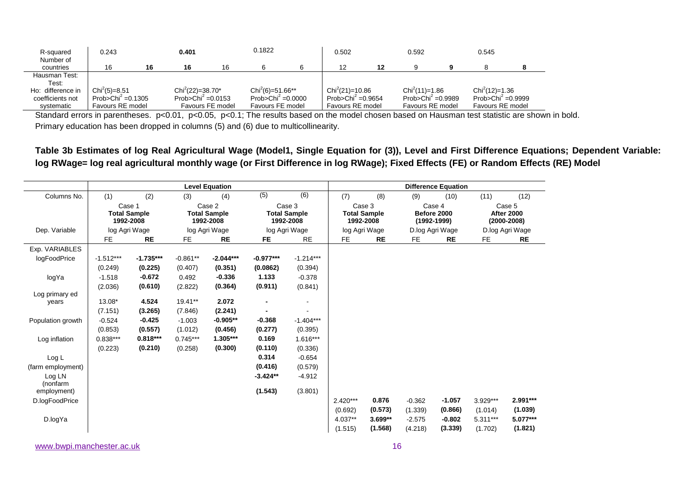| R-squared              | 0.243                          |    | 0.401                            |                  | 0.1822                       | 0.502                              |    | 0.592                          | 0.545                          |  |
|------------------------|--------------------------------|----|----------------------------------|------------------|------------------------------|------------------------------------|----|--------------------------------|--------------------------------|--|
| Number of<br>countries | 16                             | 16 | 16                               | 16               |                              | 12                                 | 12 |                                |                                |  |
| Hausman Test:          |                                |    |                                  |                  |                              |                                    |    |                                |                                |  |
| Test:                  |                                |    |                                  |                  |                              |                                    |    |                                |                                |  |
| Ho: difference in      | $Chi^2(5)=8.51$                |    | $Chi2(22)=38.70*$                |                  | Chi <sup>2</sup> (6)=51.66** | $Chi^2(21)=10.86$                  |    | $Chi2(11)=1.86$                | $Chi2(12)=1.36$                |  |
| coefficients not       | Prob>Chi <sup>2</sup> = 0.1305 |    | Prob>Chi <sup>2</sup> = $0.0153$ |                  | $Prob > Chi^2 = 0.0000$      | Prob $>$ Chi <sup>2</sup> = 0.9654 |    | Prob>Chi <sup>2</sup> = 0.9989 | Prob>Chi <sup>2</sup> = 0.9999 |  |
| systematic             | Favours RE model               |    |                                  | Favours FE model | Favours FE model             | Favours RE model                   |    | Favours RE model               | Favours RE model               |  |

Standard errors in parentheses. p<0.01, p<0.05, p<0.1; The results based on the model chosen based on Hausman test statistic are shown in bold. Primary education has been dropped in columns (5) and (6) due to multicollinearity.

**Table 3b Estimates of log Real Agricultural Wage (Model1, Single Equation for (3)), Level and First Difference Equations; Dependent Variable: log RWage= log real agricultural monthly wage (or First Difference in log RWage); Fixed Effects (FE) or Random Effects (RE) Model**

|                   |             |                                  | <b>Level Equation</b> |                                  | <b>Difference Equation</b> |                                  |            |                     |           |                                |           |                                      |
|-------------------|-------------|----------------------------------|-----------------------|----------------------------------|----------------------------|----------------------------------|------------|---------------------|-----------|--------------------------------|-----------|--------------------------------------|
| Columns No.       | (1)         | (2)                              | (3)                   | (4)                              | $\overline{(5)}$           | (6)                              | (7)        | (8)                 | (9)       | (10)                           | (11)      | (12)                                 |
|                   | Case 1      |                                  | Case 2                |                                  | Case 3                     |                                  |            | Case 3              |           | Case 4                         |           | Case 5                               |
|                   |             | <b>Total Sample</b><br>1992-2008 |                       | <b>Total Sample</b><br>1992-2008 |                            | <b>Total Sample</b><br>1992-2008 | 1992-2008  | <b>Total Sample</b> |           | Before 2000<br>$(1992 - 1999)$ |           | <b>After 2000</b><br>$(2000 - 2008)$ |
| Dep. Variable     |             | log Agri Wage                    |                       | log Agri Wage                    |                            | log Agri Wage                    |            | log Agri Wage       |           | D.log Agri Wage                |           | D.log Agri Wage                      |
|                   | <b>FE</b>   | <b>RE</b>                        | FE.                   | <b>RE</b>                        | FE                         | <b>RE</b>                        | FE         | <b>RE</b>           | <b>FE</b> | <b>RE</b>                      | <b>FE</b> | RE                                   |
| Exp. VARIABLES    |             |                                  |                       |                                  |                            |                                  |            |                     |           |                                |           |                                      |
| logFoodPrice      | $-1.512***$ | $-1.735***$                      | $-0.861**$            | $-2.044***$                      | $-0.977***$                | $-1.214***$                      |            |                     |           |                                |           |                                      |
|                   | (0.249)     | (0.225)                          | (0.407)               | (0.351)                          | (0.0862)                   | (0.394)                          |            |                     |           |                                |           |                                      |
| logYa             | $-1.518$    | $-0.672$                         | 0.492                 | $-0.336$                         | 1.133                      | $-0.378$                         |            |                     |           |                                |           |                                      |
|                   | (2.036)     | (0.610)                          | (2.822)               | (0.364)                          | (0.911)                    | (0.841)                          |            |                     |           |                                |           |                                      |
| Log primary ed    |             |                                  |                       |                                  |                            |                                  |            |                     |           |                                |           |                                      |
| years             | 13.08*      | 4.524                            | $19.41**$             | 2.072                            |                            |                                  |            |                     |           |                                |           |                                      |
|                   | (7.151)     | (3.265)                          | (7.846)               | (2.241)                          |                            |                                  |            |                     |           |                                |           |                                      |
| Population growth | $-0.524$    | $-0.425$                         | $-1.003$              | $-0.905**$                       | $-0.368$                   | $-1.404***$                      |            |                     |           |                                |           |                                      |
|                   | (0.853)     | (0.557)                          | (1.012)               | (0.456)                          | (0.277)                    | (0.395)                          |            |                     |           |                                |           |                                      |
| Log inflation     | $0.838***$  | $0.818***$                       | $0.745***$            | 1.305***                         | 0.169                      | 1.616***                         |            |                     |           |                                |           |                                      |
|                   | (0.223)     | (0.210)                          | (0.258)               | (0.300)                          | (0.110)                    | (0.336)                          |            |                     |           |                                |           |                                      |
| Log L             |             |                                  |                       |                                  | 0.314                      | $-0.654$                         |            |                     |           |                                |           |                                      |
| (farm employment) |             |                                  |                       |                                  | (0.416)                    | (0.579)                          |            |                     |           |                                |           |                                      |
| Log LN            |             |                                  |                       |                                  | $-3.424**$                 | $-4.912$                         |            |                     |           |                                |           |                                      |
| (nonfarm          |             |                                  |                       |                                  |                            |                                  |            |                     |           |                                |           |                                      |
| employment)       |             |                                  |                       |                                  | (1.543)                    | (3.801)                          |            |                     |           |                                |           |                                      |
| D.logFoodPrice    |             |                                  |                       |                                  |                            |                                  | $2.420***$ | 0.876               | $-0.362$  | $-1.057$                       | 3.929***  | 2.991***                             |
|                   |             |                                  |                       |                                  |                            |                                  | (0.692)    | (0.573)             | (1.339)   | (0.866)                        | (1.014)   | (1.039)                              |
| D.logYa           |             |                                  |                       |                                  |                            |                                  | $4.037**$  | $3.699**$           | $-2.575$  | $-0.802$                       | 5.311***  | 5.077***                             |
|                   |             |                                  |                       |                                  |                            |                                  | (1.515)    | (1.568)             | (4.218)   | (3.339)                        | (1.702)   | (1.821)                              |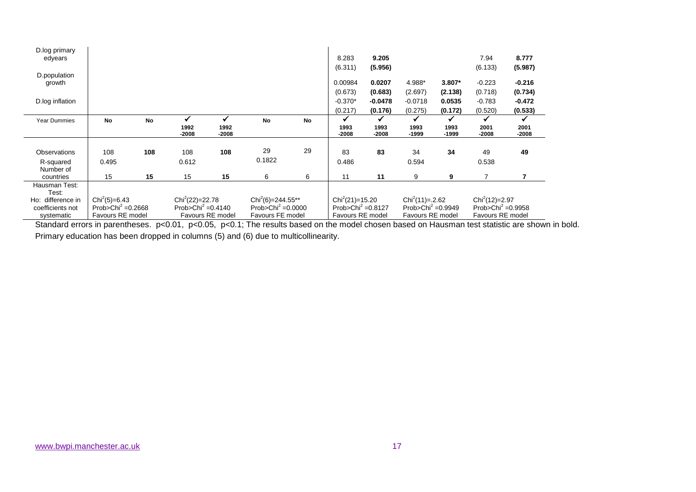| D.log primary<br>edyears |                       |     |                       |                  |                               |    | 8.283                  | 9.205           |                       |                 | 7.94                  | 8.777           |
|--------------------------|-----------------------|-----|-----------------------|------------------|-------------------------------|----|------------------------|-----------------|-----------------------|-----------------|-----------------------|-----------------|
|                          |                       |     |                       |                  |                               |    | (6.311)                | (5.956)         |                       |                 | (6.133)               | (5.987)         |
| D.population<br>growth   |                       |     |                       |                  |                               |    | 0.00984                | 0.0207          | 4.988*                | $3.807*$        | $-0.223$              | $-0.216$        |
|                          |                       |     |                       |                  |                               |    | (0.673)                | (0.683)         | (2.697)               | (2.138)         | (0.718)               | (0.734)         |
| D.log inflation          |                       |     |                       |                  |                               |    | $-0.370*$              | $-0.0478$       | $-0.0718$             | 0.0535          | $-0.783$              | $-0.472$        |
|                          |                       |     |                       |                  |                               |    | (0.217)                | (0.176)         | (0.275)               | (0.172)         | (0.520)               | (0.533)         |
| <b>Year Dummies</b>      | No                    | No  |                       |                  | <b>No</b>                     | No |                        | ✔               |                       |                 |                       |                 |
|                          |                       |     | 1992<br>$-2008$       | 1992<br>$-2008$  |                               |    | 1993<br>$-2008$        | 1993<br>$-2008$ | 1993<br>$-1999$       | 1993<br>$-1999$ | 2001<br>$-2008$       | 2001<br>$-2008$ |
|                          |                       |     |                       |                  |                               |    |                        |                 |                       |                 |                       |                 |
| <b>Observations</b>      | 108                   | 108 | 108                   | 108              | 29                            | 29 | 83                     | 83              | 34                    | 34              | 49                    | 49              |
| R-squared                | 0.495                 |     | 0.612                 |                  | 0.1822                        |    | 0.486                  |                 | 0.594                 |                 | 0.538                 |                 |
| Number of                |                       |     |                       |                  |                               |    |                        |                 |                       |                 |                       |                 |
| countries                | 15                    | 15  | 15                    | 15               | 6                             | 6  | 11                     | 11              | 9                     | 9               | 7                     |                 |
| Hausman Test:            |                       |     |                       |                  |                               |    |                        |                 |                       |                 |                       |                 |
| Test:                    |                       |     |                       |                  |                               |    |                        |                 |                       |                 |                       |                 |
| difference in<br>Ho:     | $Chi2(5)=6.43$        |     | $Chi^2(22)=22.78$     |                  | Chi <sup>2</sup> (6)=244.55** |    | $Chi2(21)=15.20$       |                 | $Chi2(11)=.2.62$      |                 | $Chi2(12)=2.97$       |                 |
| coefficients not         | Prob>Chi $^2$ =0.2668 |     | Prob>Chi $^2$ =0.4140 |                  | Prob>Chi $^2$ =0.0000         |    | Prob>Chi $^2$ = 0.8127 |                 | Prob>Chi $^2$ =0.9949 |                 | Prob>Chi $^2$ =0.9958 |                 |
| systematic               | Favours RE model      |     |                       | Favours RE model | Favours FE model              |    | Favours RE model       |                 | Favours RE model      |                 | Favours RE model      |                 |

Standard errors in parentheses. p<0.01, p<0.05, p<0.1; The results based on the model chosen based on Hausman test statistic are shown in bold. Primary education has been dropped in columns (5) and (6) due to multicollinearity.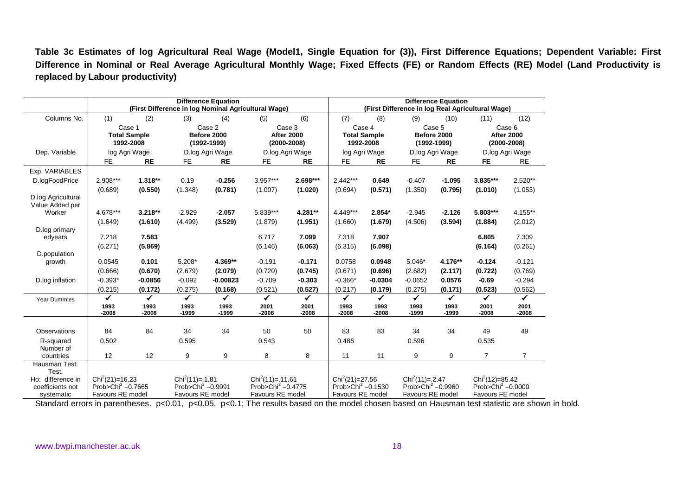**Table 3c Estimates of log Agricultural Real Wage (Model1, Single Equation for (3)), First Difference Equations; Dependent Variable: First Difference in Nominal or Real Average Agricultural Monthly Wage; Fixed Effects (FE) or Random Effects (RE) Model (Land Productivity is replaced by Labour productivity)** 

|                           |                       | (First Difference in log Nominal Agricultural Wage) |                       | <b>Difference Equation</b><br>(First Difference in log Real Agricultural Wage) |                       |                                      |                       |                     |                       |                                          |                       |                                                |
|---------------------------|-----------------------|-----------------------------------------------------|-----------------------|--------------------------------------------------------------------------------|-----------------------|--------------------------------------|-----------------------|---------------------|-----------------------|------------------------------------------|-----------------------|------------------------------------------------|
| Columns No.               | (1)                   | (2)                                                 | (3)                   | (4)                                                                            | (5)                   | (6)                                  | (7)                   | (8)                 | (9)                   | (10)                                     | (11)                  | (12)                                           |
|                           |                       | Case 1<br><b>Total Sample</b><br>1992-2008          |                       | Case 2<br>Before 2000<br>$(1992 - 1999)$                                       | Case 3                | <b>After 2000</b><br>$(2000 - 2008)$ | Case 4<br>1992-2008   | <b>Total Sample</b> |                       | Case 5<br>Before 2000<br>$(1992 - 1999)$ |                       | Case 6<br><b>After 2000</b><br>$(2000 - 2008)$ |
| Dep. Variable             |                       | log Agri Wage                                       |                       | D.log Agri Wage                                                                |                       | D.log Agri Wage                      | log Agri Wage         |                     |                       | D.log Agri Wage                          |                       | D.log Agri Wage                                |
|                           | <b>FE</b>             | <b>RE</b>                                           | <b>FE</b>             | <b>RE</b>                                                                      | <b>FE</b>             | <b>RE</b>                            | FE.                   | <b>RE</b>           | <b>FE</b>             | <b>RE</b>                                | <b>FE</b>             | <b>RE</b>                                      |
| Exp. VARIABLES            |                       |                                                     |                       |                                                                                |                       |                                      |                       |                     |                       |                                          |                       |                                                |
| D.logFoodPrice            | 2.908***              | $1.318**$                                           | 0.19                  | $-0.256$                                                                       | 3.957***              | 2.698***                             | $2.442***$            | 0.649               | $-0.407$              | $-1.095$                                 | 3.835***              | 2.520**                                        |
|                           | (0.689)               | (0.550)                                             | (1.348)               | (0.781)                                                                        | (1.007)               | (1.020)                              | (0.694)               | (0.571)             | (1.350)               | (0.795)                                  | (1.010)               | (1.053)                                        |
| D.log Agricultural        |                       |                                                     |                       |                                                                                |                       |                                      |                       |                     |                       |                                          |                       |                                                |
| Value Added per<br>Worker | 4.678***              | $3.218**$                                           | $-2.929$              | $-2.057$                                                                       | 5.839***              | 4.281**                              | 4.449***              | $2.854*$            | $-2.945$              | $-2.126$                                 | 5.803***              | 4.155**                                        |
|                           | (1.649)               | (1.610)                                             | (4.499)               | (3.529)                                                                        | (1.879)               | (1.951)                              | (1.660)               | (1.679)             | (4.506)               | (3.594)                                  | (1.884)               | (2.012)                                        |
| D.log primary             |                       |                                                     |                       |                                                                                |                       |                                      |                       |                     |                       |                                          |                       |                                                |
| edyears                   | 7.218                 | 7.583                                               |                       |                                                                                | 6.717                 | 7.099                                | 7.318                 | 7.907               |                       |                                          | 6.805                 | 7.309                                          |
|                           | (6.271)               | (5.869)                                             |                       |                                                                                | (6.146)               | (6.063)                              | (6.315)               | (6.098)             |                       |                                          | (6.164)               | (6.261)                                        |
| D.population              |                       |                                                     |                       |                                                                                |                       |                                      |                       |                     |                       |                                          |                       |                                                |
| growth                    | 0.0545                | 0.101                                               | $5.208*$              | 4.369**                                                                        | $-0.191$              | $-0.171$                             | 0.0758                | 0.0948              | $5.046*$              | 4.176**                                  | $-0.124$              | $-0.121$                                       |
|                           | (0.666)               | (0.670)                                             | (2.679)               | (2.079)                                                                        | (0.720)               | (0.745)                              | (0.671)               | (0.696)             | (2.682)               | (2.117)                                  | (0.722)               | (0.769)                                        |
| D.log inflation           | $-0.393*$             | $-0.0856$                                           | $-0.092$              | $-0.00823$                                                                     | $-0.709$              | $-0.303$                             | $-0.366*$             | $-0.0304$           | $-0.0652$             | 0.0576                                   | $-0.69$               | $-0.294$                                       |
|                           | (0.215)               | (0.172)                                             | (0.275)               | (0.168)                                                                        | (0.521)               | (0.527)                              | (0.217)               | (0.179)             | (0.275)               | (0.171)                                  | (0.523)               | (0.562)                                        |
| <b>Year Dummies</b>       | $\checkmark$          | ✓                                                   | ✓                     | $\checkmark$                                                                   | ✓                     | $\checkmark$                         | ✓                     | ✓                   | ✓                     | $\checkmark$                             | ✓                     | ✓                                              |
|                           | 1993<br>$-2008$       | 1993<br>$-2008$                                     | 1993<br>$-1999$       | 1993<br>$-1999$                                                                | 2001<br>$-2008$       | 2001<br>$-2008$                      | 1993<br>$-2008$       | 1993<br>$-2008$     | 1993<br>$-1999$       | 1993<br>$-1999$                          | 2001<br>$-2008$       | 2001<br>$-2008$                                |
|                           |                       |                                                     |                       |                                                                                |                       |                                      |                       |                     |                       |                                          |                       |                                                |
| Observations              | 84                    | 84                                                  | 34                    | 34                                                                             | 50                    | 50                                   | 83                    | 83                  | 34                    | 34                                       | 49                    | 49                                             |
| R-squared                 | 0.502                 |                                                     | 0.595                 |                                                                                | 0.543                 |                                      | 0.486                 |                     | 0.596                 |                                          | 0.535                 |                                                |
| Number of                 |                       |                                                     |                       |                                                                                |                       |                                      |                       |                     |                       |                                          |                       | $\overline{7}$                                 |
| countries                 | 12                    | 12                                                  | 9                     | 9                                                                              | 8                     | 8                                    | 11                    | 11                  | 9                     | 9                                        | $\overline{7}$        |                                                |
| Hausman Test:<br>Test:    |                       |                                                     |                       |                                                                                |                       |                                      |                       |                     |                       |                                          |                       |                                                |
| Ho: difference in         | $Chi2(21)=16.23$      |                                                     | $Chi^2(11)=.1.81$     |                                                                                | $Chi2(11)=.11.61$     |                                      | $Chi2(21)=27.56$      |                     | $Chi2(11)=.2.47$      |                                          | $Chi2(12)=85.42$      |                                                |
| coefficients not          | Prob>Chi $^2$ =0.7665 |                                                     | Prob>Chi $^2$ =0.9991 |                                                                                | Prob>Chi $^2$ =0.4775 |                                      | Prob>Chi $^2$ =0.1530 |                     | Prob>Chi $^2$ =0.9960 |                                          | Prob>Chi $^2$ =0.0000 |                                                |
| systematic                | Favours RE model      |                                                     | Favours RE model      |                                                                                | Favours RE model      |                                      | Favours RE model      |                     | Favours RE model      |                                          | Favours FE model      |                                                |

Standard errors in parentheses. p<0.01, p<0.05, p<0.1; The results based on the model chosen based on Hausman test statistic are shown in bold.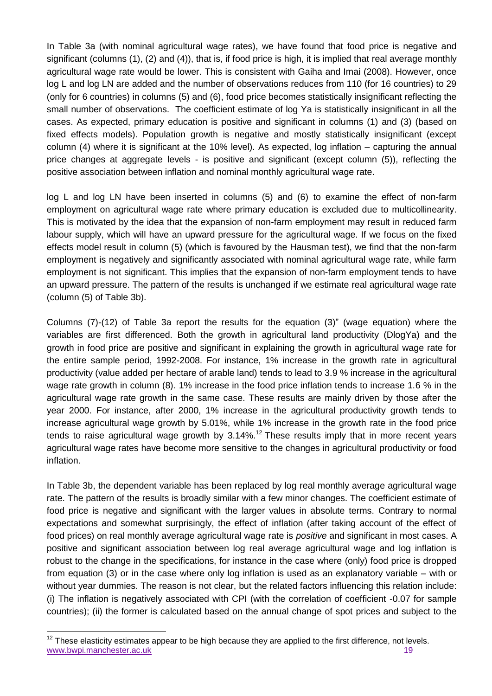In Table 3a (with nominal agricultural wage rates), we have found that food price is negative and significant (columns (1), (2) and (4)), that is, if food price is high, it is implied that real average monthly agricultural wage rate would be lower. This is consistent with Gaiha and Imai (2008). However, once log L and log LN are added and the number of observations reduces from 110 (for 16 countries) to 29 (only for 6 countries) in columns (5) and (6), food price becomes statistically insignificant reflecting the small number of observations. The coefficient estimate of log Ya is statistically insignificant in all the cases. As expected, primary education is positive and significant in columns (1) and (3) (based on fixed effects models). Population growth is negative and mostly statistically insignificant (except column (4) where it is significant at the 10% level). As expected, log inflation – capturing the annual price changes at aggregate levels - is positive and significant (except column (5)), reflecting the positive association between inflation and nominal monthly agricultural wage rate.

log L and log LN have been inserted in columns (5) and (6) to examine the effect of non-farm employment on agricultural wage rate where primary education is excluded due to multicollinearity. This is motivated by the idea that the expansion of non-farm employment may result in reduced farm labour supply, which will have an upward pressure for the agricultural wage. If we focus on the fixed effects model result in column (5) (which is favoured by the Hausman test), we find that the non-farm employment is negatively and significantly associated with nominal agricultural wage rate, while farm employment is not significant. This implies that the expansion of non-farm employment tends to have an upward pressure. The pattern of the results is unchanged if we estimate real agricultural wage rate (column (5) of Table 3b).

Columns (7)-(12) of Table 3a report the results for the equation (3)" (wage equation) where the variables are first differenced. Both the growth in agricultural land productivity (DlogYa) and the growth in food price are positive and significant in explaining the growth in agricultural wage rate for the entire sample period, 1992-2008. For instance, 1% increase in the growth rate in agricultural productivity (value added per hectare of arable land) tends to lead to 3.9 % increase in the agricultural wage rate growth in column (8). 1% increase in the food price inflation tends to increase 1.6 % in the agricultural wage rate growth in the same case. These results are mainly driven by those after the year 2000. For instance, after 2000, 1% increase in the agricultural productivity growth tends to increase agricultural wage growth by 5.01%, while 1% increase in the growth rate in the food price tends to raise agricultural wage growth by  $3.14\%$ .<sup>12</sup> These results imply that in more recent years agricultural wage rates have become more sensitive to the changes in agricultural productivity or food inflation.

In Table 3b, the dependent variable has been replaced by log real monthly average agricultural wage rate. The pattern of the results is broadly similar with a few minor changes. The coefficient estimate of food price is negative and significant with the larger values in absolute terms. Contrary to normal expectations and somewhat surprisingly, the effect of inflation (after taking account of the effect of food prices) on real monthly average agricultural wage rate is *positive* and significant in most cases. A positive and significant association between log real average agricultural wage and log inflation is robust to the change in the specifications, for instance in the case where (only) food price is dropped from equation (3) or in the case where only log inflation is used as an explanatory variable – with or without year dummies. The reason is not clear, but the related factors influencing this relation include: (i) The inflation is negatively associated with CPI (with the correlation of coefficient -0.07 for sample countries); (ii) the former is calculated based on the annual change of spot prices and subject to the

1

[www.bwpi.manchester.ac.uk](http://www.bwpi.manchester.ac.uk/) 19  $12$  These elasticity estimates appear to be high because they are applied to the first difference, not levels.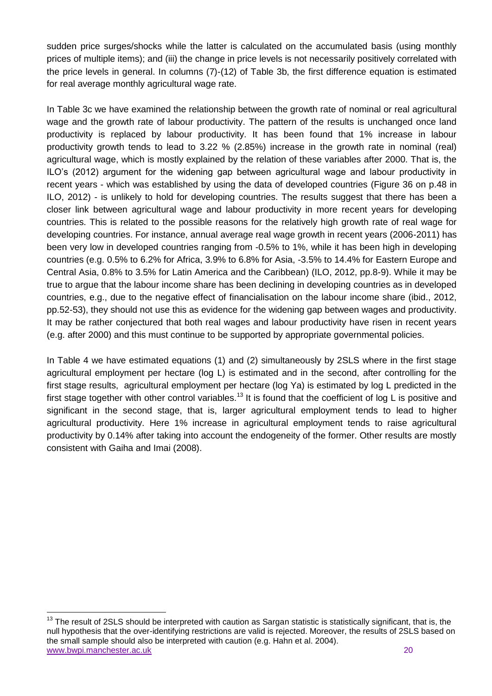sudden price surges/shocks while the latter is calculated on the accumulated basis (using monthly prices of multiple items); and (iii) the change in price levels is not necessarily positively correlated with the price levels in general. In columns (7)-(12) of Table 3b, the first difference equation is estimated for real average monthly agricultural wage rate.

In Table 3c we have examined the relationship between the growth rate of nominal or real agricultural wage and the growth rate of labour productivity. The pattern of the results is unchanged once land productivity is replaced by labour productivity. It has been found that 1% increase in labour productivity growth tends to lead to 3.22 % (2.85%) increase in the growth rate in nominal (real) agricultural wage, which is mostly explained by the relation of these variables after 2000. That is, the ILO's (2012) argument for the widening gap between agricultural wage and labour productivity in recent years - which was established by using the data of developed countries (Figure 36 on p.48 in ILO, 2012) - is unlikely to hold for developing countries. The results suggest that there has been a closer link between agricultural wage and labour productivity in more recent years for developing countries. This is related to the possible reasons for the relatively high growth rate of real wage for developing countries. For instance, annual average real wage growth in recent years (2006-2011) has been very low in developed countries ranging from -0.5% to 1%, while it has been high in developing countries (e.g. 0.5% to 6.2% for Africa, 3.9% to 6.8% for Asia, -3.5% to 14.4% for Eastern Europe and Central Asia, 0.8% to 3.5% for Latin America and the Caribbean) (ILO, 2012, pp.8-9). While it may be true to argue that the labour income share has been declining in developing countries as in developed countries, e.g., due to the negative effect of financialisation on the labour income share (ibid., 2012, pp.52-53), they should not use this as evidence for the widening gap between wages and productivity. It may be rather conjectured that both real wages and labour productivity have risen in recent years (e.g. after 2000) and this must continue to be supported by appropriate governmental policies.

In Table 4 we have estimated equations (1) and (2) simultaneously by 2SLS where in the first stage agricultural employment per hectare (log L) is estimated and in the second, after controlling for the first stage results, agricultural employment per hectare (log Ya) is estimated by log L predicted in the first stage together with other control variables.<sup>13</sup> It is found that the coefficient of log L is positive and significant in the second stage, that is, larger agricultural employment tends to lead to higher agricultural productivity. Here 1% increase in agricultural employment tends to raise agricultural productivity by 0.14% after taking into account the endogeneity of the former. Other results are mostly consistent with Gaiha and Imai (2008).

<u>.</u>

[www.bwpi.manchester.ac.uk](http://www.bwpi.manchester.ac.uk/) 20 <sup>13</sup> The result of 2SLS should be interpreted with caution as Sargan statistic is statistically significant, that is, the null hypothesis that the over-identifying restrictions are valid is rejected. Moreover, the results of 2SLS based on the small sample should also be interpreted with caution (e.g. Hahn et al. 2004).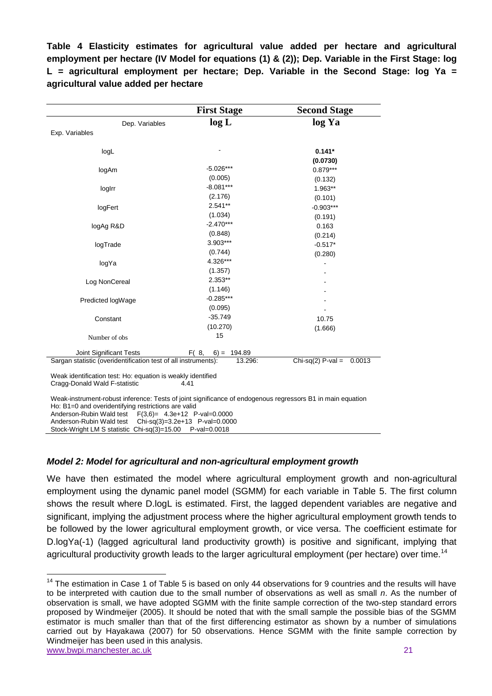**Table 4 Elasticity estimates for agricultural value added per hectare and agricultural employment per hectare (IV Model for equations (1) & (2)); Dep. Variable in the First Stage: log L = agricultural employment per hectare; Dep. Variable in the Second Stage: log Ya = agricultural value added per hectare**

|                                                                                                            | <b>First Stage</b>                | <b>Second Stage</b>            |
|------------------------------------------------------------------------------------------------------------|-----------------------------------|--------------------------------|
| Dep. Variables                                                                                             | log L                             | log Ya                         |
| Exp. Variables                                                                                             |                                   |                                |
|                                                                                                            |                                   |                                |
| logL                                                                                                       |                                   | $0.141*$                       |
|                                                                                                            |                                   | (0.0730)                       |
| logAm                                                                                                      | $-5.026***$                       | $0.879***$                     |
|                                                                                                            | (0.005)                           | (0.132)                        |
| logIrr                                                                                                     | $-8.081***$                       | 1.963**                        |
|                                                                                                            | (2.176)                           | (0.101)                        |
| logFert                                                                                                    | $2.541**$                         | $-0.903***$                    |
|                                                                                                            | (1.034)                           | (0.191)                        |
| logAg R&D                                                                                                  | $-2.470***$                       | 0.163                          |
|                                                                                                            | (0.848)                           | (0.214)                        |
| logTrade                                                                                                   | 3.903***                          | $-0.517*$                      |
|                                                                                                            | (0.744)                           | (0.280)                        |
| logYa                                                                                                      | 4.326***                          |                                |
|                                                                                                            | (1.357)                           |                                |
| Log NonCereal                                                                                              | 2.353**                           |                                |
|                                                                                                            | (1.146)                           |                                |
| Predicted logWage                                                                                          | $-0.285***$                       |                                |
|                                                                                                            | (0.095)                           |                                |
| Constant                                                                                                   | $-35.749$                         | 10.75                          |
|                                                                                                            | (10.270)                          | (1.666)                        |
| Number of obs                                                                                              | 15                                |                                |
| <b>Joint Significant Tests</b>                                                                             | F(8,<br>$6) = 194.89$             |                                |
| Sargan statistic (overidentification test of all instruments):                                             | 13.296:                           | Chi-sq(2) $P$ -val =<br>0.0013 |
|                                                                                                            |                                   |                                |
| Weak identification test: Ho: equation is weakly identified                                                |                                   |                                |
| Cragg-Donald Wald F-statistic                                                                              | 4.41                              |                                |
| Weak-instrument-robust inference: Tests of joint significance of endogenous regressors B1 in main equation |                                   |                                |
| Ho: B1=0 and overidentifying restrictions are valid                                                        |                                   |                                |
| Anderson-Rubin Wald test                                                                                   | $F(3,6) = 4.3e+12$ P-val=0.0000   |                                |
| Anderson-Rubin Wald test                                                                                   | Chi-sq(3)=3.2e+13 $P$ -val=0.0000 |                                |
| Stock-Wright LM S statistic Chi-sq(3)=15.00                                                                | P-val=0.0018                      |                                |

#### *Model 2: Model for agricultural and non-agricultural employment growth*

We have then estimated the model where agricultural employment growth and non-agricultural employment using the dynamic panel model (SGMM) for each variable in Table 5. The first column shows the result where D.logL is estimated. First, the lagged dependent variables are negative and significant, implying the adjustment process where the higher agricultural employment growth tends to be followed by the lower agricultural employment growth, or vice versa. The coefficient estimate for D.logYa(-1) (lagged agricultural land productivity growth) is positive and significant, implying that agricultural productivity growth leads to the larger agricultural employment (per hectare) over time.<sup>14</sup>

[www.bwpi.manchester.ac.uk](http://www.bwpi.manchester.ac.uk/) 21 1  $14$  The estimation in Case 1 of Table 5 is based on only 44 observations for 9 countries and the results will have to be interpreted with caution due to the small number of observations as well as small *n*. As the number of observation is small, we have adopted SGMM with the finite sample correction of the two-step standard errors proposed by Windmeijer (2005). It should be noted that with the small sample the possible bias of the SGMM estimator is much smaller than that of the first differencing estimator as shown by a number of simulations carried out by Hayakawa (2007) for 50 observations. Hence SGMM with the finite sample correction by Windmeijer has been used in this analysis.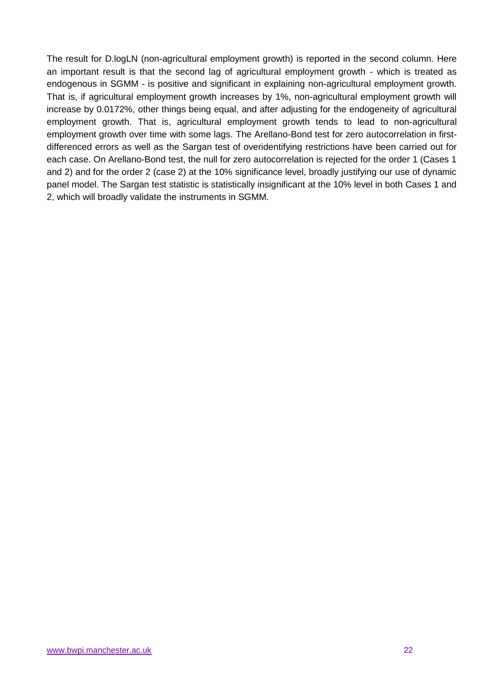The result for D.logLN (non-agricultural employment growth) is reported in the second column. Here an important result is that the second lag of agricultural employment growth - which is treated as endogenous in SGMM - is positive and significant in explaining non-agricultural employment growth. That is, if agricultural employment growth increases by 1%, non-agricultural employment growth will increase by 0.0172%, other things being equal, and after adjusting for the endogeneity of agricultural employment growth. That is, agricultural employment growth tends to lead to non-agricultural employment growth over time with some lags. The Arellano-Bond test for zero autocorrelation in firstdifferenced errors as well as the Sargan test of overidentifying restrictions have been carried out for each case. On Arellano-Bond test, the null for zero autocorrelation is rejected for the order 1 (Cases 1 and 2) and for the order 2 (case 2) at the 10% significance level, broadly justifying our use of dynamic panel model. The Sargan test statistic is statistically insignificant at the 10% level in both Cases 1 and 2, which will broadly validate the instruments in SGMM.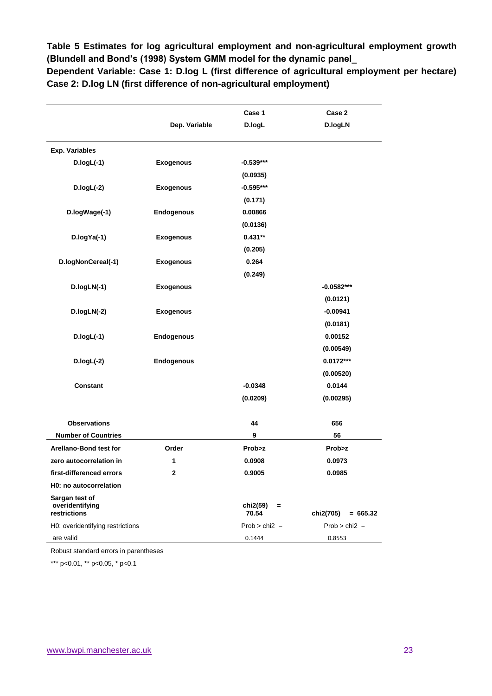**Table 5 Estimates for log agricultural employment and non-agricultural employment growth (Blundell and Bond's (1998) System GMM model for the dynamic panel\_**

**Dependent Variable: Case 1: D.log L (first difference of agricultural employment per hectare) Case 2: D.log LN (first difference of non-agricultural employment)**

|                                                   |                   | Case 1                        | Case 2                  |
|---------------------------------------------------|-------------------|-------------------------------|-------------------------|
|                                                   | Dep. Variable     | D.logL                        | D.logLN                 |
|                                                   |                   |                               |                         |
| <b>Exp. Variables</b>                             |                   |                               |                         |
| $D.logL(-1)$                                      | <b>Exogenous</b>  | $-0.539***$                   |                         |
|                                                   |                   | (0.0935)                      |                         |
| $D.logL(-2)$                                      | <b>Exogenous</b>  | $-0.595***$                   |                         |
|                                                   |                   | (0.171)                       |                         |
| D.logWage(-1)                                     | <b>Endogenous</b> | 0.00866                       |                         |
|                                                   |                   | (0.0136)                      |                         |
| D.logYa(-1)                                       | <b>Exogenous</b>  | $0.431**$                     |                         |
|                                                   |                   | (0.205)                       |                         |
| D.logNonCereal(-1)                                | <b>Exogenous</b>  | 0.264                         |                         |
|                                                   |                   | (0.249)                       |                         |
| D.logLN(-1)                                       | <b>Exogenous</b>  |                               | $-0.0582***$            |
|                                                   |                   |                               | (0.0121)                |
| D.logLN(-2)                                       | <b>Exogenous</b>  |                               | $-0.00941$              |
|                                                   |                   |                               | (0.0181)                |
| $D.logL(-1)$                                      | <b>Endogenous</b> |                               | 0.00152                 |
|                                                   |                   |                               | (0.00549)               |
| $D.logL(-2)$                                      | <b>Endogenous</b> |                               | $0.0172***$             |
|                                                   |                   |                               | (0.00520)               |
| <b>Constant</b>                                   |                   | $-0.0348$                     | 0.0144                  |
|                                                   |                   | (0.0209)                      | (0.00295)               |
|                                                   |                   |                               |                         |
| <b>Observations</b>                               |                   | 44                            | 656                     |
| <b>Number of Countries</b>                        |                   | 9                             | 56                      |
| Arellano-Bond test for                            | Order             | Prob>z                        | Prob>z                  |
| zero autocorrelation in                           | 1                 | 0.0908                        | 0.0973                  |
| first-differenced errors                          | $\mathbf 2$       | 0.9005                        | 0.0985                  |
| H0: no autocorrelation                            |                   |                               |                         |
| Sargan test of<br>overidentifying<br>restrictions |                   | chi2(59)<br>$\equiv$<br>70.54 | chi2(705)<br>$= 665.32$ |
| H0: overidentifying restrictions                  |                   | $Prob > chi2 =$               | $Prob > chi2 =$         |
| are valid                                         |                   | 0.1444                        | 0.8553                  |

Robust standard errors in parentheses

\*\*\* p<0.01, \*\* p<0.05, \* p<0.1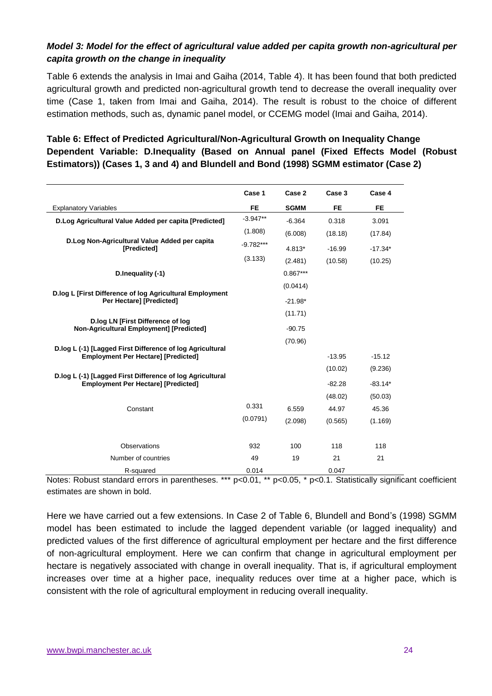## *Model 3: Model for the effect of agricultural value added per capita growth non-agricultural per capita growth on the change in inequality*

Table 6 extends the analysis in Imai and Gaiha (2014, Table 4). It has been found that both predicted agricultural growth and predicted non-agricultural growth tend to decrease the overall inequality over time (Case 1, taken from Imai and Gaiha, 2014). The result is robust to the choice of different estimation methods, such as, dynamic panel model, or CCEMG model (Imai and Gaiha, 2014).

## **Table 6: Effect of Predicted Agricultural/Non-Agricultural Growth on Inequality Change Dependent Variable: D.Inequality (Based on Annual panel (Fixed Effects Model (Robust Estimators)) (Cases 1, 3 and 4) and Blundell and Bond (1998) SGMM estimator (Case 2)**

|                                                                                                         | Case 1      | Case 2      | Case 3   | Case 4    |
|---------------------------------------------------------------------------------------------------------|-------------|-------------|----------|-----------|
| <b>Explanatory Variables</b>                                                                            | <b>FE</b>   | <b>SGMM</b> | FE.      | <b>FE</b> |
| D.Log Agricultural Value Added per capita [Predicted]                                                   | $-3.947**$  | $-6.364$    | 0.318    | 3.091     |
|                                                                                                         | (1.808)     | (6.008)     | (18.18)  | (17.84)   |
| D.Log Non-Agricultural Value Added per capita<br>[Predicted]                                            | $-9.782***$ | $4.813*$    | $-16.99$ | $-17.34*$ |
|                                                                                                         | (3.133)     | (2.481)     | (10.58)  | (10.25)   |
| D.Inequality (-1)                                                                                       |             | $0.867***$  |          |           |
|                                                                                                         |             | (0.0414)    |          |           |
| D.log L [First Difference of log Agricultural Employment<br>Per Hectare] [Predicted]                    |             | $-21.98*$   |          |           |
|                                                                                                         |             | (11.71)     |          |           |
| D.log LN [First Difference of log<br>Non-Agricultural Employment] [Predicted]                           |             | $-90.75$    |          |           |
|                                                                                                         |             | (70.96)     |          |           |
| D.log L (-1) [Lagged First Difference of log Agricultural<br><b>Employment Per Hectare] [Predicted]</b> |             |             | $-13.95$ | $-15.12$  |
|                                                                                                         |             |             | (10.02)  | (9.236)   |
| D.log L (-1) [Lagged First Difference of log Agricultural<br><b>Employment Per Hectare] [Predicted]</b> |             |             | $-82.28$ | $-83.14*$ |
|                                                                                                         |             |             | (48.02)  | (50.03)   |
| Constant                                                                                                | 0.331       | 6.559       | 44.97    | 45.36     |
|                                                                                                         | (0.0791)    | (2.098)     | (0.565)  | (1.169)   |
|                                                                                                         |             |             |          |           |
| Observations                                                                                            | 932         | 100         | 118      | 118       |
| Number of countries                                                                                     | 49          | 19          | 21       | 21        |
| R-squared                                                                                               | 0.014       |             | 0.047    |           |

Notes: Robust standard errors in parentheses. \*\*\* p<0.01, \*\* p<0.05, \* p<0.1. Statistically significant coefficient estimates are shown in bold.

Here we have carried out a few extensions. In Case 2 of Table 6, Blundell and Bond's (1998) SGMM model has been estimated to include the lagged dependent variable (or lagged inequality) and predicted values of the first difference of agricultural employment per hectare and the first difference of non-agricultural employment. Here we can confirm that change in agricultural employment per hectare is negatively associated with change in overall inequality. That is, if agricultural employment increases over time at a higher pace, inequality reduces over time at a higher pace, which is consistent with the role of agricultural employment in reducing overall inequality.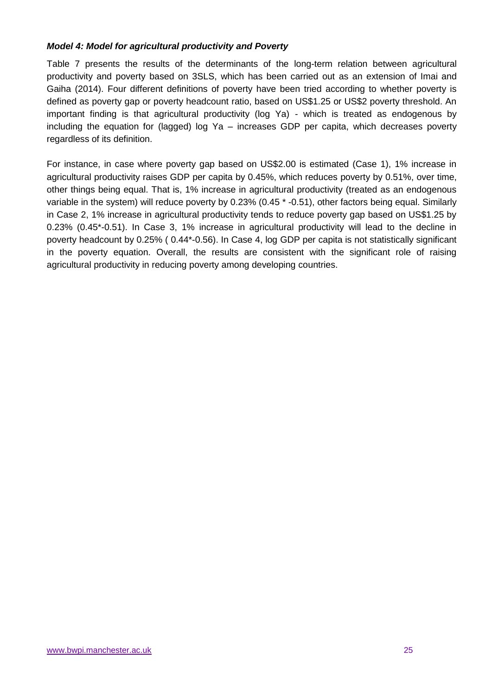#### *Model 4: Model for agricultural productivity and Poverty*

Table 7 presents the results of the determinants of the long-term relation between agricultural productivity and poverty based on 3SLS, which has been carried out as an extension of Imai and Gaiha (2014). Four different definitions of poverty have been tried according to whether poverty is defined as poverty gap or poverty headcount ratio, based on US\$1.25 or US\$2 poverty threshold. An important finding is that agricultural productivity (log Ya) - which is treated as endogenous by including the equation for (lagged) log Ya – increases GDP per capita, which decreases poverty regardless of its definition.

For instance, in case where poverty gap based on US\$2.00 is estimated (Case 1), 1% increase in agricultural productivity raises GDP per capita by 0.45%, which reduces poverty by 0.51%, over time, other things being equal. That is, 1% increase in agricultural productivity (treated as an endogenous variable in the system) will reduce poverty by 0.23% (0.45 \* -0.51), other factors being equal. Similarly in Case 2, 1% increase in agricultural productivity tends to reduce poverty gap based on US\$1.25 by 0.23% (0.45\*-0.51). In Case 3, 1% increase in agricultural productivity will lead to the decline in poverty headcount by 0.25% ( 0.44\*-0.56). In Case 4, log GDP per capita is not statistically significant in the poverty equation. Overall, the results are consistent with the significant role of raising agricultural productivity in reducing poverty among developing countries.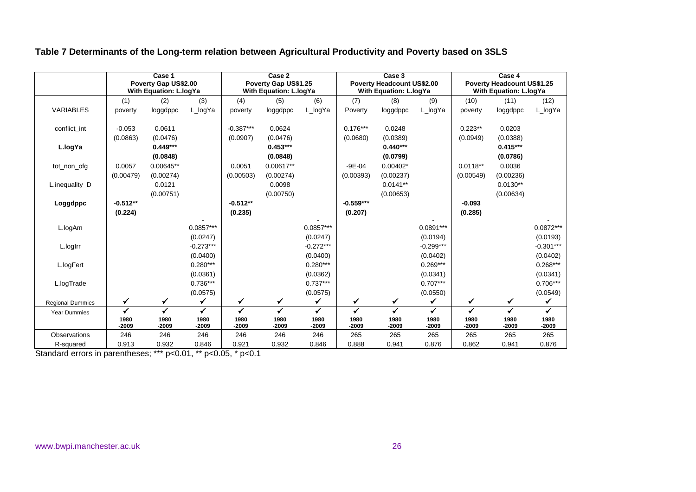| Table 7 Determinants of the Long-term relation between Agricultural Productivity and Poverty based on 3SLS |  |
|------------------------------------------------------------------------------------------------------------|--|
|                                                                                                            |  |

|                         | Case 1                        |               | Case 2                                         |                 | Case 3                                                      |                 |                 | Case 4                                                      |                 |                 |                 |                 |
|-------------------------|-------------------------------|---------------|------------------------------------------------|-----------------|-------------------------------------------------------------|-----------------|-----------------|-------------------------------------------------------------|-----------------|-----------------|-----------------|-----------------|
|                         | Poverty Gap US\$2.00          |               | Poverty Gap US\$1.25<br>With Equation: L.logYa |                 | Poverty Headcount US\$2.00<br><b>With Equation: L.logYa</b> |                 |                 | <b>Poverty Headcount US\$1.25</b><br>With Equation: L.logYa |                 |                 |                 |                 |
|                         | <b>With Equation: L.logYa</b> |               |                                                |                 |                                                             |                 |                 |                                                             |                 |                 |                 |                 |
|                         | (1)                           | (2)           | (3)                                            | (4)             | (5)                                                         | (6)             | (7)             | (8)                                                         | (9)             | (10)            | (11)            | (12)            |
| <b>VARIABLES</b>        | poverty                       | loggdppc      | L_logYa                                        | poverty         | loggdppc                                                    | L_logYa         | Poverty         | loggdppc                                                    | L_logYa         | poverty         | loggdppc        | L_logYa         |
| conflict int            | $-0.053$                      | 0.0611        |                                                | $-0.387***$     | 0.0624                                                      |                 | $0.176***$      | 0.0248                                                      |                 | $0.223**$       | 0.0203          |                 |
|                         | (0.0863)                      | (0.0476)      |                                                | (0.0907)        | (0.0476)                                                    |                 | (0.0680)        | (0.0389)                                                    |                 | (0.0949)        | (0.0388)        |                 |
| L.logYa                 |                               | $0.449***$    |                                                |                 | $0.453***$                                                  |                 |                 | $0.440***$                                                  |                 |                 | $0.415***$      |                 |
|                         |                               | (0.0848)      |                                                |                 | (0.0848)                                                    |                 |                 | (0.0799)                                                    |                 |                 | (0.0786)        |                 |
| tot_non_ofg             | 0.0057                        | 0.00645**     |                                                | 0.0051          | $0.00617**$                                                 |                 | $-9E - 04$      | $0.00402*$                                                  |                 | $0.0118**$      | 0.0036          |                 |
|                         | (0.00479)                     | (0.00274)     |                                                | (0.00503)       | (0.00274)                                                   |                 | (0.00393)       | (0.00237)                                                   |                 | (0.00549)       | (0.00236)       |                 |
| L.inequality_D          |                               | 0.0121        |                                                |                 | 0.0098                                                      |                 |                 | $0.0141**$                                                  |                 |                 | $0.0130**$      |                 |
|                         |                               | (0.00751)     |                                                |                 | (0.00750)                                                   |                 |                 | (0.00653)                                                   |                 |                 | (0.00634)       |                 |
| Loggdppc                | $-0.512**$                    |               |                                                | $-0.512**$      |                                                             |                 | $-0.559***$     |                                                             |                 | $-0.093$        |                 |                 |
|                         | (0.224)                       |               |                                                | (0.235)         |                                                             |                 | (0.207)         |                                                             |                 | (0.285)         |                 |                 |
|                         |                               |               |                                                |                 |                                                             |                 |                 |                                                             |                 |                 |                 |                 |
| L.logAm                 |                               |               | $0.0857***$                                    |                 |                                                             | $0.0857***$     |                 |                                                             | $0.0891***$     |                 |                 | $0.0872***$     |
|                         |                               |               | (0.0247)                                       |                 |                                                             | (0.0247)        |                 |                                                             | (0.0194)        |                 |                 | (0.0193)        |
| L.logIrr                |                               |               | $-0.273***$                                    |                 |                                                             | $-0.272***$     |                 |                                                             | $-0.299***$     |                 |                 | $-0.301***$     |
|                         |                               |               | (0.0400)                                       |                 |                                                             | (0.0400)        |                 |                                                             | (0.0402)        |                 |                 | (0.0402)        |
| L.logFert               |                               |               | $0.280***$                                     |                 |                                                             | $0.280***$      |                 |                                                             | $0.269***$      |                 |                 | $0.268***$      |
|                         |                               |               | (0.0361)                                       |                 |                                                             | (0.0362)        |                 |                                                             | (0.0341)        |                 |                 | (0.0341)        |
| L.logTrade              |                               |               | $0.736***$                                     |                 |                                                             | $0.737***$      |                 |                                                             | $0.707***$      |                 |                 | $0.706***$      |
|                         |                               |               | (0.0575)                                       |                 |                                                             | (0.0575)        |                 |                                                             | (0.0550)        |                 |                 | (0.0549)        |
| <b>Regional Dummies</b> | $\checkmark$                  | $\checkmark$  |                                                | $\checkmark$    | $\checkmark$                                                |                 | ✓               | $\checkmark$                                                |                 | $\checkmark$    | ✓               | ✓               |
| <b>Year Dummies</b>     | $\checkmark$                  | ✔             | ✓                                              | ✔               | ✓                                                           | ✓               | ✔               | ✔                                                           | ✓               | ✓               | ✓               | $\checkmark$    |
|                         | 1980<br>$-2009$               | 1980<br>-2009 | 1980<br>$-2009$                                | 1980<br>$-2009$ | 1980<br>$-2009$                                             | 1980<br>$-2009$ | 1980<br>$-2009$ | 1980<br>$-2009$                                             | 1980<br>$-2009$ | 1980<br>$-2009$ | 1980<br>$-2009$ | 1980<br>$-2009$ |
| Observations            | 246                           | 246           | 246                                            | 246             | 246                                                         | 246             | 265             | 265                                                         | 265             | 265             | 265             | 265             |
| R-squared               | 0.913                         | 0.932         | 0.846                                          | 0.921           | 0.932                                                       | 0.846           | 0.888           | 0.941                                                       | 0.876           | 0.862           | 0.941           | 0.876           |

Standard errors in parentheses; \*\*\* p<0.01, \*\* p<0.05, \* p<0.1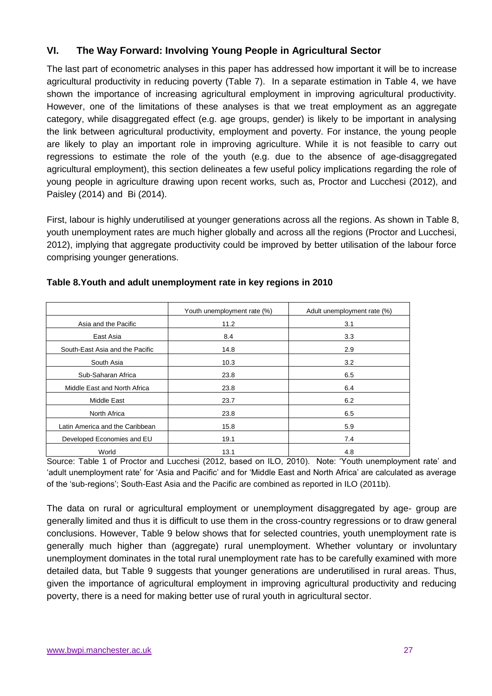## **VI. The Way Forward: Involving Young People in Agricultural Sector**

The last part of econometric analyses in this paper has addressed how important it will be to increase agricultural productivity in reducing poverty (Table 7). In a separate estimation in Table 4, we have shown the importance of increasing agricultural employment in improving agricultural productivity. However, one of the limitations of these analyses is that we treat employment as an aggregate category, while disaggregated effect (e.g. age groups, gender) is likely to be important in analysing the link between agricultural productivity, employment and poverty. For instance, the young people are likely to play an important role in improving agriculture. While it is not feasible to carry out regressions to estimate the role of the youth (e.g. due to the absence of age-disaggregated agricultural employment), this section delineates a few useful policy implications regarding the role of young people in agriculture drawing upon recent works, such as, Proctor and Lucchesi (2012), and Paisley (2014) and Bi (2014).

First, labour is highly underutilised at younger generations across all the regions. As shown in Table 8, youth unemployment rates are much higher globally and across all the regions (Proctor and Lucchesi, 2012), implying that aggregate productivity could be improved by better utilisation of the labour force comprising younger generations.

|                                 | Youth unemployment rate (%) | Adult unemployment rate (%) |
|---------------------------------|-----------------------------|-----------------------------|
| Asia and the Pacific            | 11.2                        | 3.1                         |
| East Asia                       | 8.4                         | 3.3                         |
| South-East Asia and the Pacific | 14.8                        | 2.9                         |
| South Asia                      | 10.3                        | 3.2                         |
| Sub-Saharan Africa              | 23.8                        | 6.5                         |
| Middle East and North Africa    | 23.8                        | 6.4                         |
| Middle East                     | 23.7                        | 6.2                         |
| North Africa                    | 23.8                        | 6.5                         |
| Latin America and the Caribbean | 15.8                        | 5.9                         |
| Developed Economies and EU      | 19.1                        | 7.4                         |
| World                           | 13.1                        | 4.8                         |

#### **Table 8.Youth and adult unemployment rate in key regions in 2010**

Source: Table 1 of Proctor and Lucchesi (2012, based on ILO, 2010). Note: 'Youth unemployment rate' and 'adult unemployment rate' for 'Asia and Pacific' and for 'Middle East and North Africa' are calculated as average of the 'sub-regions'; South-East Asia and the Pacific are combined as reported in ILO (2011b).

The data on rural or agricultural employment or unemployment disaggregated by age- group are generally limited and thus it is difficult to use them in the cross-country regressions or to draw general conclusions. However, Table 9 below shows that for selected countries, youth unemployment rate is generally much higher than (aggregate) rural unemployment. Whether voluntary or involuntary unemployment dominates in the total rural unemployment rate has to be carefully examined with more detailed data, but Table 9 suggests that younger generations are underutilised in rural areas. Thus, given the importance of agricultural employment in improving agricultural productivity and reducing poverty, there is a need for making better use of rural youth in agricultural sector.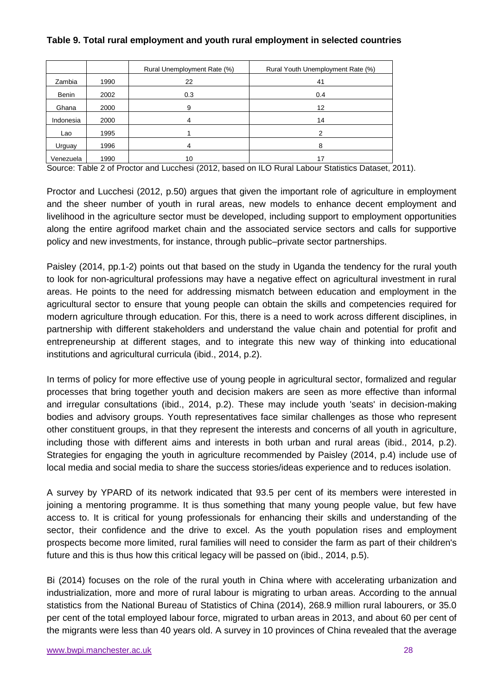#### **Table 9. Total rural employment and youth rural employment in selected countries**

|              |      | Rural Unemployment Rate (%) | Rural Youth Unemployment Rate (%) |
|--------------|------|-----------------------------|-----------------------------------|
| Zambia       | 1990 | 22                          | 41                                |
| <b>Benin</b> | 2002 | 0.3                         | 0.4                               |
| Ghana        | 2000 | 9                           | 12                                |
| Indonesia    | 2000 |                             | 14                                |
| Lao          | 1995 |                             |                                   |
| Urguay       | 1996 | 4                           | 8                                 |
| Venezuela    | 1990 | 10                          |                                   |

Source: Table 2 of Proctor and Lucchesi (2012, based on ILO Rural Labour Statistics Dataset, 2011).

Proctor and Lucchesi (2012, p.50) argues that given the important role of agriculture in employment and the sheer number of youth in rural areas, new models to enhance decent employment and livelihood in the agriculture sector must be developed, including support to employment opportunities along the entire agrifood market chain and the associated service sectors and calls for supportive policy and new investments, for instance, through public–private sector partnerships.

Paisley (2014, pp.1-2) points out that based on the study in Uganda the tendency for the rural youth to look for non-agricultural professions may have a negative effect on agricultural investment in rural areas. He points to the need for addressing mismatch between education and employment in the agricultural sector to ensure that young people can obtain the skills and competencies required for modern agriculture through education. For this, there is a need to work across different disciplines, in partnership with different stakeholders and understand the value chain and potential for profit and entrepreneurship at different stages, and to integrate this new way of thinking into educational institutions and agricultural curricula (ibid., 2014, p.2).

In terms of policy for more effective use of young people in agricultural sector, formalized and regular processes that bring together youth and decision makers are seen as more effective than informal and irregular consultations (ibid., 2014, p.2). These may include youth 'seats' in decision-making bodies and advisory groups. Youth representatives face similar challenges as those who represent other constituent groups, in that they represent the interests and concerns of all youth in agriculture, including those with different aims and interests in both urban and rural areas (ibid., 2014, p.2). Strategies for engaging the youth in agriculture recommended by Paisley (2014, p.4) include use of local media and social media to share the success stories/ideas experience and to reduces isolation.

A survey by YPARD of its network indicated that 93.5 per cent of its members were interested in joining a mentoring programme. It is thus something that many young people value, but few have access to. It is critical for young professionals for enhancing their skills and understanding of the sector, their confidence and the drive to excel. As the youth population rises and employment prospects become more limited, rural families will need to consider the farm as part of their children's future and this is thus how this critical legacy will be passed on (ibid., 2014, p.5).

Bi (2014) focuses on the role of the rural youth in China where with accelerating urbanization and industrialization, more and more of rural labour is migrating to urban areas. According to the annual statistics from the National Bureau of Statistics of China (2014), 268.9 million rural labourers, or 35.0 per cent of the total employed labour force, migrated to urban areas in 2013, and about 60 per cent of the migrants were less than 40 years old. A survey in 10 provinces of China revealed that the average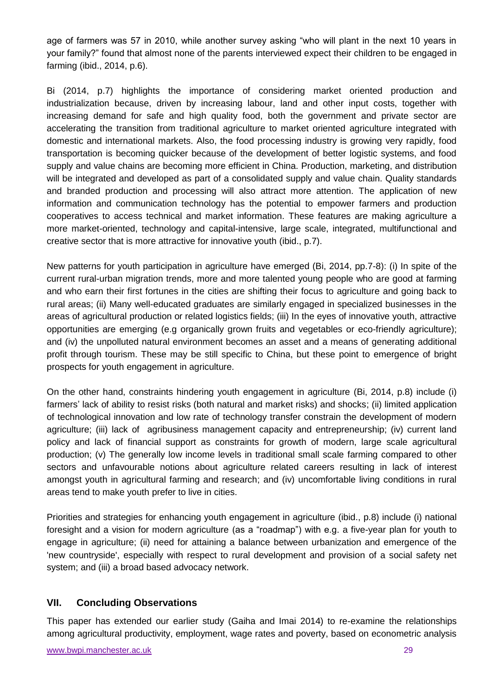age of farmers was 57 in 2010, while another survey asking "who will plant in the next 10 years in your family?" found that almost none of the parents interviewed expect their children to be engaged in farming (ibid., 2014, p.6).

Bi (2014, p.7) highlights the importance of considering market oriented production and industrialization because, driven by increasing labour, land and other input costs, together with increasing demand for safe and high quality food, both the government and private sector are accelerating the transition from traditional agriculture to market oriented agriculture integrated with domestic and international markets. Also, the food processing industry is growing very rapidly, food transportation is becoming quicker because of the development of better logistic systems, and food supply and value chains are becoming more efficient in China. Production, marketing, and distribution will be integrated and developed as part of a consolidated supply and value chain. Quality standards and branded production and processing will also attract more attention. The application of new information and communication technology has the potential to empower farmers and production cooperatives to access technical and market information. These features are making agriculture a more market-oriented, technology and capital-intensive, large scale, integrated, multifunctional and creative sector that is more attractive for innovative youth (ibid., p.7).

New patterns for youth participation in agriculture have emerged (Bi, 2014, pp.7-8): (i) In spite of the current rural-urban migration trends, more and more talented young people who are good at farming and who earn their first fortunes in the cities are shifting their focus to agriculture and going back to rural areas; (ii) Many well-educated graduates are similarly engaged in specialized businesses in the areas of agricultural production or related logistics fields; (iii) In the eyes of innovative youth, attractive opportunities are emerging (e.g organically grown fruits and vegetables or eco-friendly agriculture); and (iv) the unpolluted natural environment becomes an asset and a means of generating additional profit through tourism. These may be still specific to China, but these point to emergence of bright prospects for youth engagement in agriculture.

On the other hand, constraints hindering youth engagement in agriculture (Bi, 2014, p.8) include (i) farmers' lack of ability to resist risks (both natural and market risks) and shocks; (ii) limited application of technological innovation and low rate of technology transfer constrain the development of modern agriculture; (iii) lack of agribusiness management capacity and entrepreneurship; (iv) current land policy and lack of financial support as constraints for growth of modern, large scale agricultural production; (v) The generally low income levels in traditional small scale farming compared to other sectors and unfavourable notions about agriculture related careers resulting in lack of interest amongst youth in agricultural farming and research; and (iv) uncomfortable living conditions in rural areas tend to make youth prefer to live in cities.

Priorities and strategies for enhancing youth engagement in agriculture (ibid., p.8) include (i) national foresight and a vision for modern agriculture (as a "roadmap") with e.g. a five-year plan for youth to engage in agriculture; (ii) need for attaining a balance between urbanization and emergence of the 'new countryside', especially with respect to rural development and provision of a social safety net system; and (iii) a broad based advocacy network.

## **VII. Concluding Observations**

This paper has extended our earlier study (Gaiha and Imai 2014) to re-examine the relationships among agricultural productivity, employment, wage rates and poverty, based on econometric analysis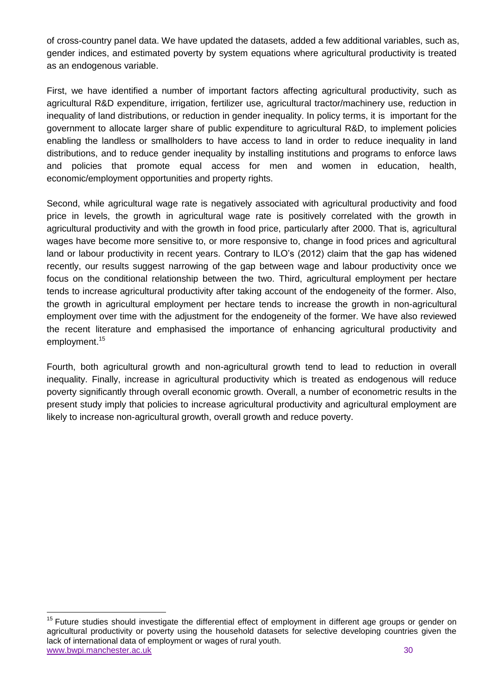of cross-country panel data. We have updated the datasets, added a few additional variables, such as, gender indices, and estimated poverty by system equations where agricultural productivity is treated as an endogenous variable.

First, we have identified a number of important factors affecting agricultural productivity, such as agricultural R&D expenditure, irrigation, fertilizer use, agricultural tractor/machinery use, reduction in inequality of land distributions, or reduction in gender inequality. In policy terms, it is important for the government to allocate larger share of public expenditure to agricultural R&D, to implement policies enabling the landless or smallholders to have access to land in order to reduce inequality in land distributions, and to reduce gender inequality by installing institutions and programs to enforce laws and policies that promote equal access for men and women in education, health, economic/employment opportunities and property rights.

Second, while agricultural wage rate is negatively associated with agricultural productivity and food price in levels, the growth in agricultural wage rate is positively correlated with the growth in agricultural productivity and with the growth in food price, particularly after 2000. That is, agricultural wages have become more sensitive to, or more responsive to, change in food prices and agricultural land or labour productivity in recent years. Contrary to ILO's (2012) claim that the gap has widened recently, our results suggest narrowing of the gap between wage and labour productivity once we focus on the conditional relationship between the two. Third, agricultural employment per hectare tends to increase agricultural productivity after taking account of the endogeneity of the former. Also, the growth in agricultural employment per hectare tends to increase the growth in non-agricultural employment over time with the adjustment for the endogeneity of the former. We have also reviewed the recent literature and emphasised the importance of enhancing agricultural productivity and employment.<sup>15</sup>

Fourth, both agricultural growth and non-agricultural growth tend to lead to reduction in overall inequality. Finally, increase in agricultural productivity which is treated as endogenous will reduce poverty significantly through overall economic growth. Overall, a number of econometric results in the present study imply that policies to increase agricultural productivity and agricultural employment are likely to increase non-agricultural growth, overall growth and reduce poverty.

<u>.</u>

[www.bwpi.manchester.ac.uk](http://www.bwpi.manchester.ac.uk/) 30 <sup>15</sup> Future studies should investigate the differential effect of employment in different age groups or gender on agricultural productivity or poverty using the household datasets for selective developing countries given the lack of international data of employment or wages of rural youth.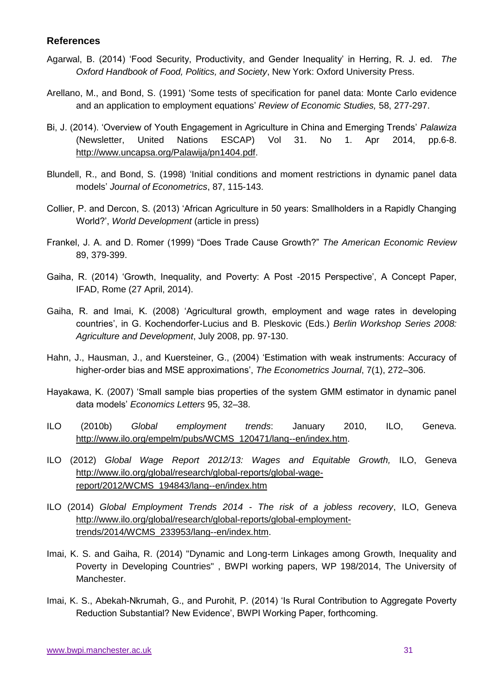#### **References**

- Agarwal, B. (2014) 'Food Security, Productivity, and Gender Inequality' in Herring, R. J. ed. *The Oxford Handbook of Food, Politics, and Society*, New York: Oxford University Press.
- Arellano, M., and Bond, S. (1991) 'Some tests of specification for panel data: Monte Carlo evidence and an application to employment equations' *Review of Economic Studies,* 58, 277-297.
- Bi, J. (2014). 'Overview of Youth Engagement in Agriculture in China and Emerging Trends' *Palawiza* (Newsletter, United Nations ESCAP) Vol 31. No 1. Apr 2014, pp.6-8. [http://www.uncapsa.org/Palawija/pn1404.pdf.](http://www.uncapsa.org/Palawija/pn1404.pdf)
- Blundell, R., and Bond, S. (1998) 'Initial conditions and moment restrictions in dynamic panel data models' *Journal of Econometrics*, 87, 115-143.
- Collier, P. and Dercon, S. (2013) 'African Agriculture in 50 years: Smallholders in a Rapidly Changing World?', *World Development* (article in press)
- Frankel, J. A. and D. Romer (1999) "Does Trade Cause Growth?" *The American Economic Review* 89, 379-399.
- Gaiha, R. (2014) 'Growth, Inequality, and Poverty: A Post -2015 Perspective', A Concept Paper, IFAD, Rome (27 April, 2014).
- Gaiha, R. and Imai, K. (2008) 'Agricultural growth, employment and wage rates in developing countries', in G. Kochendorfer-Lucius and B. Pleskovic (Eds.) *Berlin Workshop Series 2008: Agriculture and Development*, July 2008, pp. 97-130.
- Hahn, J., Hausman, J., and Kuersteiner, G., (2004) 'Estimation with weak instruments: Accuracy of higher-order bias and MSE approximations', *The Econometrics Journal*, 7(1), 272–306.
- Hayakawa, K. (2007) 'Small sample bias properties of the system GMM estimator in dynamic panel data models' *Economics Letters* 95, 32–38.
- ILO (2010b) *Global employment trends*: January 2010, ILO, Geneva. [http://www.ilo.org/empelm/pubs/WCMS\\_120471/lang--en/index.htm.](http://www.ilo.org/empelm/pubs/WCMS_120471/lang--en/index.htm)
- ILO (2012) *Global Wage Report 2012/13: Wages and Equitable Growth*, ILO, Geneva [http://www.ilo.org/global/research/global-reports/global-wage](http://www.ilo.org/global/research/global-reports/global-wage-report/2012/WCMS_194843/lang--en/index.htm)[report/2012/WCMS\\_194843/lang--en/index.htm](http://www.ilo.org/global/research/global-reports/global-wage-report/2012/WCMS_194843/lang--en/index.htm)
- ILO (2014) *Global Employment Trends 2014 - The risk of a jobless recovery*, ILO, Geneva [http://www.ilo.org/global/research/global-reports/global-employment](http://www.ilo.org/global/research/global-reports/global-employment-trends/2014/WCMS_233953/lang--en/index.htm)[trends/2014/WCMS\\_233953/lang--en/index.htm.](http://www.ilo.org/global/research/global-reports/global-employment-trends/2014/WCMS_233953/lang--en/index.htm)
- Imai, K. S. and Gaiha, R. (2014) "Dynamic and Long-term Linkages among Growth, Inequality and Poverty in Developing Countries" , BWPI working papers, WP 198/2014, The University of Manchester.
- Imai, K. S., Abekah-Nkrumah, G., and Purohit, P. (2014) 'Is Rural Contribution to Aggregate Poverty Reduction Substantial? New Evidence', BWPI Working Paper, forthcoming.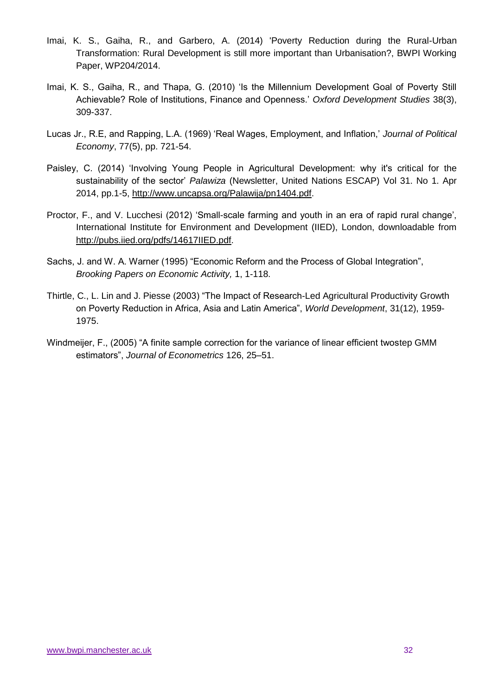- Imai, K. S., Gaiha, R., and Garbero, A. (2014) 'Poverty Reduction during the Rural-Urban Transformation: Rural Development is still more important than Urbanisation?, BWPI Working Paper, WP204/2014.
- Imai, K. S., Gaiha, R., and Thapa, G. (2010) 'Is the Millennium Development Goal of Poverty Still Achievable? Role of Institutions, Finance and Openness.' *Oxford Development Studies* 38(3), 309-337.
- Lucas Jr., R.E, and Rapping, L.A. (1969) 'Real Wages, Employment, and Inflation,' *Journal of Political Economy*, 77(5), pp. 721-54.
- Paisley, C. (2014) 'Involving Young People in Agricultural Development: why it's critical for the sustainability of the sector' *Palawiza* (Newsletter, United Nations ESCAP) Vol 31. No 1. Apr 2014, pp.1-5, [http://www.uncapsa.org/Palawija/pn1404.pdf.](http://www.uncapsa.org/Palawija/pn1404.pdf)
- Proctor, F., and V. Lucchesi (2012) 'Small-scale farming and youth in an era of rapid rural change', International Institute for Environment and Development (IIED), London, downloadable from [http://pubs.iied.org/pdfs/14617IIED.pdf.](http://pubs.iied.org/pdfs/14617IIED.pdf)
- Sachs, J. and W. A. Warner (1995) "Economic Reform and the Process of Global Integration", *Brooking Papers on Economic Activity,* 1, 1-118.
- Thirtle, C., L. Lin and J. Piesse (2003) "The Impact of Research-Led Agricultural Productivity Growth on Poverty Reduction in Africa, Asia and Latin America", *World Development*, 31(12), 1959- 1975.
- Windmeijer, F., (2005) "A finite sample correction for the variance of linear efficient twostep GMM estimators", *Journal of Econometrics* 126, 25–51.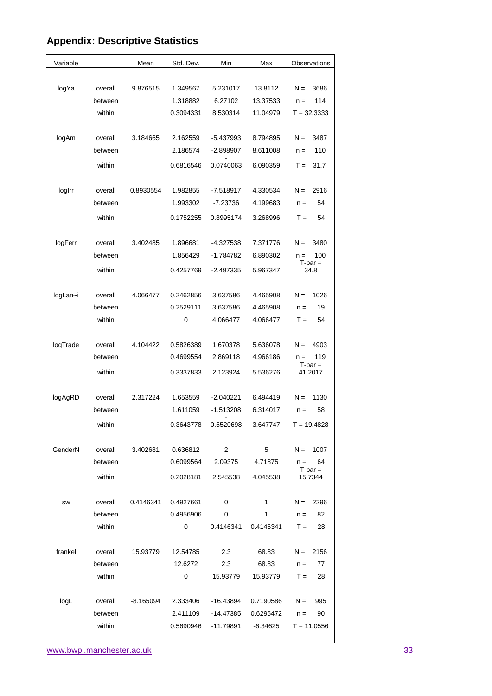| Variable |         | Mean      | Std. Dev.            | Min                      | Max                  | Observations              |
|----------|---------|-----------|----------------------|--------------------------|----------------------|---------------------------|
|          |         |           |                      |                          |                      |                           |
| logYa    | overall | 9.876515  | 1.349567             | 5.231017                 | 13.8112              | 3686<br>$N =$             |
|          | between |           | 1.318882             | 6.27102                  | 13.37533             | 114<br>$n =$              |
|          | within  |           | 0.3094331            | 8.530314                 | 11.04979             | $T = 32.3333$             |
| logAm    | overall | 3.184665  | 2.162559             | -5.437993                | 8.794895             | 3487<br>$N =$             |
|          | between |           | 2.186574             | $-2.898907$              | 8.611008             | 110<br>$n =$              |
|          | within  |           | 0.6816546            | 0.0740063                | 6.090359             | $T = 31.7$                |
|          |         |           |                      |                          |                      |                           |
| logIrr   | overall | 0.8930554 | 1.982855             | -7.518917                | 4.330534             | 2916<br>$N =$             |
|          | between |           | 1.993302             | -7.23736                 | 4.199683             | 54<br>$n =$               |
|          | within  |           | 0.1752255            | 0.8995174                | 3.268996             | $T =$<br>54               |
| logFerr  | overall | 3.402485  | 1.896681             | -4.327538                | 7.371776             | $N =$<br>3480             |
|          | between |           | 1.856429             | -1.784782                | 6.890302             | 100<br>$n =$              |
|          | within  |           | 0.4257769            | $-2.497335$              | 5.967347             | $T-bar =$<br>34.8         |
|          |         |           |                      |                          |                      |                           |
| logLan~i | overall | 4.066477  | 0.2462856            | 3.637586                 | 4.465908             | 1026<br>$N =$             |
|          | between |           | 0.2529111            | 3.637586                 | 4.465908             | 19<br>$n =$               |
|          | within  |           | 0                    | 4.066477                 | 4.066477             | 54<br>$T =$               |
| logTrade | overall | 4.104422  | 0.5826389            | 1.670378                 | 5.636078             | 4903<br>$N =$             |
|          | between |           | 0.4699554            | 2.869118                 | 4.966186             | 119<br>$n =$              |
|          | within  |           | 0.3337833            | 2.123924                 | 5.536276             | T-bar =<br>41.2017        |
|          |         |           |                      |                          |                      |                           |
| logAgRD  | overall | 2.317224  | 1.653559<br>1.611059 | $-2.040221$<br>-1.513208 | 6.494419<br>6.314017 | 1130<br>$N =$<br>58       |
|          | between |           |                      |                          |                      | $n =$                     |
|          | within  |           | 0.3643778            | 0.5520698                | 3.647747             | $T = 19.4828$             |
| GenderN  | overall | 3.402681  | 0.636812             | $\overline{2}$           | 5                    | $N = 1007$                |
|          | between |           | 0.6099564            | 2.09375                  | 4.71875              | 64<br>$n =$<br>$T$ -bar = |
|          | within  |           | 0.2028181            | 2.545538                 | 4.045538             | 15.7344                   |
| SW       | overall | 0.4146341 | 0.4927661            | 0                        | 1                    | $N = 2296$                |
|          | between |           | 0.4956906            | 0                        | 1                    | 82<br>$n =$               |
|          | within  |           | 0                    | 0.4146341                | 0.4146341            | $T =$<br>28               |
|          |         |           |                      |                          |                      |                           |
| frankel  | overall | 15.93779  | 12.54785             | 2.3                      | 68.83                | $N =$<br>2156             |
|          | between |           | 12.6272              | 2.3                      | 68.83                | 77<br>$n =$               |
|          | within  |           | 0                    | 15.93779                 | 15.93779             | $T =$<br>28               |
| logL     | overall | -8.165094 | 2.333406             | -16.43894                | 0.7190586            | $N =$<br>995              |
|          | between |           | 2.411109             | -14.47385                | 0.6295472            | 90<br>$n =$               |
|          | within  |           | 0.5690946            | -11.79891                | -6.34625             | $T = 11.0556$             |
|          |         |           |                      |                          |                      |                           |

# **Appendix: Descriptive Statistics**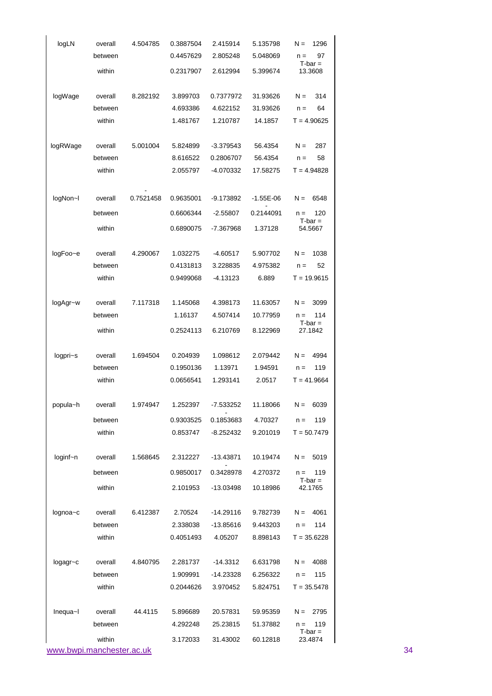| logLN                     | overall           | 4.504785  | 0.3887504 | 2.415914    | 5.135798      | $N =$<br>1296             |
|---------------------------|-------------------|-----------|-----------|-------------|---------------|---------------------------|
|                           | between           |           | 0.4457629 | 2.805248    | 5.048069      | 97<br>$n =$<br>$T-bar =$  |
|                           | within            |           | 0.2317907 | 2.612994    | 5.399674      | 13.3608                   |
|                           |                   |           |           |             |               |                           |
| logWage                   | overall           | 8.282192  | 3.899703  | 0.7377972   | 31.93626      | 314<br>$N =$              |
|                           | between           |           | 4.693386  | 4.622152    | 31.93626      | 64<br>$n =$               |
|                           | within            |           | 1.481767  | 1.210787    | 14.1857       | $T = 4.90625$             |
| logRWage                  | overall           | 5.001004  | 5.824899  | $-3.379543$ | 56.4354       | 287<br>$N =$              |
|                           | between           |           | 8.616522  | 0.2806707   | 56.4354       | 58<br>$n =$               |
|                           | within            |           | 2.055797  | -4.070332   | 17.58275      | $T = 4.94828$             |
|                           |                   |           |           |             |               |                           |
| logNon~I                  | overall           | 0.7521458 | 0.9635001 | -9.173892   | $-1.55E - 06$ | $N = 6548$                |
|                           | between           |           | 0.6606344 | $-2.55807$  | 0.2144091     | 120<br>$n =$              |
|                           | within            |           | 0.6890075 | -7.367968   | 1.37128       | $T-bar =$<br>54.5667      |
|                           |                   |           |           |             |               |                           |
| logFoo~e                  | overall           | 4.290067  | 1.032275  | -4.60517    | 5.907702      | 1038<br>$N =$             |
|                           | between           |           | 0.4131813 | 3.228835    | 4.975382      | 52<br>$n =$               |
|                           | within            |           | 0.9499068 | $-4.13123$  | 6.889         | $T = 19.9615$             |
|                           |                   |           |           |             |               |                           |
| logAgr~w                  | overall           | 7.117318  | 1.145068  | 4.398173    | 11.63057      | 3099<br>$N =$             |
|                           | between           |           | 1.16137   | 4.507414    | 10.77959      | 114<br>$n =$<br>$T-bar =$ |
|                           | within            |           | 0.2524113 | 6.210769    | 8.122969      | 27.1842                   |
|                           |                   |           |           |             |               |                           |
| logpri~s                  | overall           | 1.694504  | 0.204939  | 1.098612    | 2.079442      | $N = 4994$                |
|                           | between<br>within |           | 0.1950136 | 1.13971     | 1.94591       | 119<br>$n =$              |
|                           |                   |           | 0.0656541 | 1.293141    | 2.0517        | $T = 41.9664$             |
| popula~h                  | overall           | 1.974947  | 1.252397  | -7.533252   | 11.18066      | 6039<br>$N =$             |
|                           | between           |           | 0.9303525 | 0.1853683   | 4.70327       | 119<br>$n =$              |
|                           | within            |           | 0.853747  | -8.252432   | 9.201019      | $T = 50.7479$             |
|                           |                   |           |           |             |               |                           |
| loginf~n                  | overall           | 1.568645  | 2.312227  | $-13.43871$ | 10.19474      | $N = 5019$                |
|                           | between           |           | 0.9850017 | 0.3428978   | 4.270372      | 119<br>$n =$              |
|                           | within            |           | 2.101953  | -13.03498   | 10.18986      | $T$ -bar =<br>42.1765     |
|                           |                   |           |           |             |               |                           |
| lognoa~c                  | overall           | 6.412387  | 2.70524   | $-14.29116$ | 9.782739      | $N = 4061$                |
|                           | between           |           | 2.338038  | -13.85616   | 9.443203      | 114<br>$n =$              |
|                           | within            |           | 0.4051493 | 4.05207     | 8.898143      | $T = 35.6228$             |
|                           |                   |           |           |             |               |                           |
| logagr~c                  | overall           | 4.840795  | 2.281737  | $-14.3312$  | 6.631798      | $N = 4088$                |
|                           | between           |           | 1.909991  | -14.23328   | 6.256322      | 115<br>$n =$              |
|                           | within            |           | 0.2044626 | 3.970452    | 5.824751      | $T = 35.5478$             |
| Inequa~I                  | overall           | 44.4115   | 5.896689  | 20.57831    | 59.95359      | $N = 2795$                |
|                           | between           |           | 4.292248  | 25.23815    | 51.37882      | 119<br>$n =$              |
|                           | within            |           | 3.172033  | 31.43002    | 60.12818      | $T$ -bar =<br>23.4874     |
| www.bwpi.manchester.ac.uk |                   |           |           |             |               |                           |